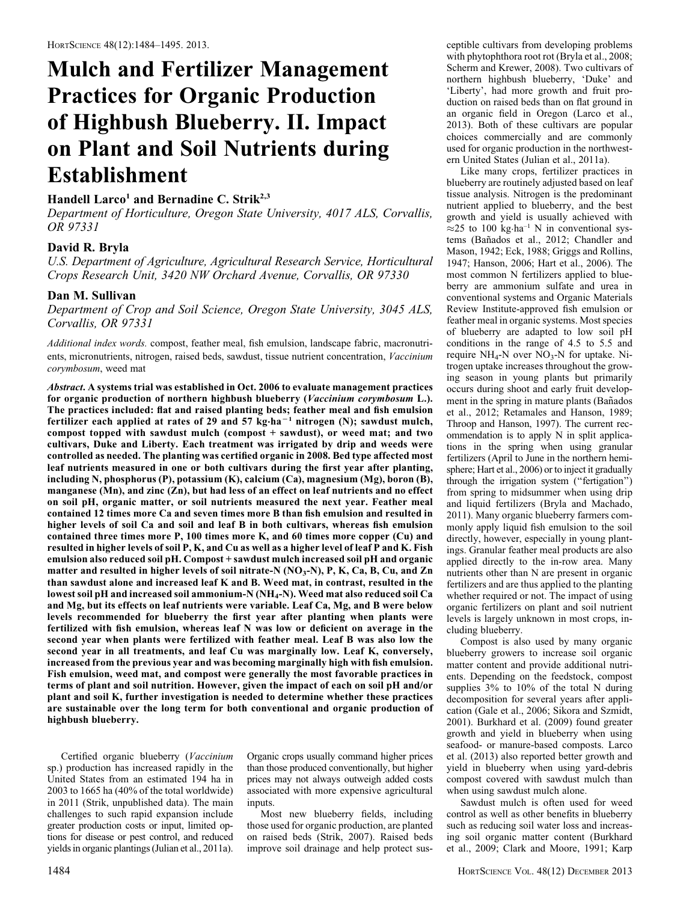# Mulch and Fertilizer Management Practices for Organic Production of Highbush Blueberry. II. Impact on Plant and Soil Nutrients during Establishment

## Handell Larco<sup>1</sup> and Bernadine C. Strik<sup>2,3</sup>

Department of Horticulture, Oregon State University, 4017 ALS, Corvallis, OR 97331

## David R. Bryla

U.S. Department of Agriculture, Agricultural Research Service, Horticultural Crops Research Unit, 3420 NW Orchard Avenue, Corvallis, OR 97330

## Dan M. Sullivan

Department of Crop and Soil Science, Oregon State University, 3045 ALS, Corvallis, OR 97331

Additional index words. compost, feather meal, fish emulsion, landscape fabric, macronutrients, micronutrients, nitrogen, raised beds, sawdust, tissue nutrient concentration, Vaccinium corymbosum, weed mat

Abstract. A systems trial was established in Oct. 2006 to evaluate management practices for organic production of northern highbush blueberry (Vaccinium corymbosum L.). The practices included: flat and raised planting beds; feather meal and fish emulsion fertilizer each applied at rates of 29 and 57 kg·ha<sup>-1</sup> nitrogen (N); sawdust mulch, compost topped with sawdust mulch (compost + sawdust), or weed mat; and two cultivars, Duke and Liberty. Each treatment was irrigated by drip and weeds were controlled as needed. The planting was certified organic in 2008. Bed type affected most leaf nutrients measured in one or both cultivars during the first year after planting, including N, phosphorus (P), potassium (K), calcium (Ca), magnesium (Mg), boron (B), manganese (Mn), and zinc (Zn), but had less of an effect on leaf nutrients and no effect on soil pH, organic matter, or soil nutrients measured the next year. Feather meal contained 12 times more Ca and seven times more B than fish emulsion and resulted in higher levels of soil Ca and soil and leaf B in both cultivars, whereas fish emulsion contained three times more P, 100 times more K, and 60 times more copper (Cu) and resulted in higher levels of soil P, K, and Cu as well as a higher level of leaf P and K. Fish emulsion also reduced soil pH. Compost + sawdust mulch increased soil pH and organic matter and resulted in higher levels of soil nitrate-N  $(NO<sub>3</sub>-N)$ , P, K, Ca, B, Cu, and Zn than sawdust alone and increased leaf K and B. Weed mat, in contrast, resulted in the lowest soil pH and increased soil ammonium-N (NH4-N). Weed mat also reduced soil Ca and Mg, but its effects on leaf nutrients were variable. Leaf Ca, Mg, and B were below levels recommended for blueberry the first year after planting when plants were fertilized with fish emulsion, whereas leaf N was low or deficient on average in the second year when plants were fertilized with feather meal. Leaf B was also low the second year in all treatments, and leaf Cu was marginally low. Leaf K, conversely, increased from the previous year and was becoming marginally high with fish emulsion. Fish emulsion, weed mat, and compost were generally the most favorable practices in terms of plant and soil nutrition. However, given the impact of each on soil pH and/or plant and soil K, further investigation is needed to determine whether these practices are sustainable over the long term for both conventional and organic production of highbush blueberry.

Certified organic blueberry (Vaccinium sp.) production has increased rapidly in the United States from an estimated 194 ha in 2003 to 1665 ha (40% of the total worldwide) in 2011 (Strik, unpublished data). The main challenges to such rapid expansion include greater production costs or input, limited options for disease or pest control, and reduced yields in organic plantings (Julian et al., 2011a). Organic crops usually command higher prices than those produced conventionally, but higher prices may not always outweigh added costs associated with more expensive agricultural inputs.

Most new blueberry fields, including those used for organic production, are planted on raised beds (Strik, 2007). Raised beds improve soil drainage and help protect susceptible cultivars from developing problems with phytophthora root rot (Bryla et al., 2008; Scherm and Krewer, 2008). Two cultivars of northern highbush blueberry, 'Duke' and 'Liberty', had more growth and fruit production on raised beds than on flat ground in an organic field in Oregon (Larco et al., 2013). Both of these cultivars are popular choices commercially and are commonly used for organic production in the northwestern United States (Julian et al., 2011a).

Like many crops, fertilizer practices in blueberry are routinely adjusted based on leaf tissue analysis. Nitrogen is the predominant nutrient applied to blueberry, and the best growth and yield is usually achieved with  $\approx$  25 to 100 kg·ha<sup>-1</sup> N in conventional systems (Bañados et al., 2012; Chandler and Mason, 1942; Eck, 1988; Griggs and Rollins, 1947; Hanson, 2006; Hart et al., 2006). The most common N fertilizers applied to blueberry are ammonium sulfate and urea in conventional systems and Organic Materials Review Institute-approved fish emulsion or feather meal in organic systems. Most species of blueberry are adapted to low soil pH conditions in the range of 4.5 to 5.5 and require  $NH_4-N$  over  $NO_3-N$  for uptake. Nitrogen uptake increases throughout the growing season in young plants but primarily occurs during shoot and early fruit development in the spring in mature plants (Bañados et al., 2012; Retamales and Hanson, 1989; Throop and Hanson, 1997). The current recommendation is to apply N in split applications in the spring when using granular fertilizers (April to June in the northern hemisphere; Hart et al., 2006) or to inject it gradually through the irrigation system (''fertigation'') from spring to midsummer when using drip and liquid fertilizers (Bryla and Machado, 2011). Many organic blueberry farmers commonly apply liquid fish emulsion to the soil directly, however, especially in young plantings. Granular feather meal products are also applied directly to the in-row area. Many nutrients other than N are present in organic fertilizers and are thus applied to the planting whether required or not. The impact of using organic fertilizers on plant and soil nutrient levels is largely unknown in most crops, including blueberry.

Compost is also used by many organic blueberry growers to increase soil organic matter content and provide additional nutrients. Depending on the feedstock, compost supplies 3% to 10% of the total N during decomposition for several years after application (Gale et al., 2006; Sikora and Szmidt, 2001). Burkhard et al. (2009) found greater growth and yield in blueberry when using seafood- or manure-based composts. Larco et al. (2013) also reported better growth and yield in blueberry when using yard-debris compost covered with sawdust mulch than when using sawdust mulch alone.

Sawdust mulch is often used for weed control as well as other benefits in blueberry such as reducing soil water loss and increasing soil organic matter content (Burkhard et al., 2009; Clark and Moore, 1991; Karp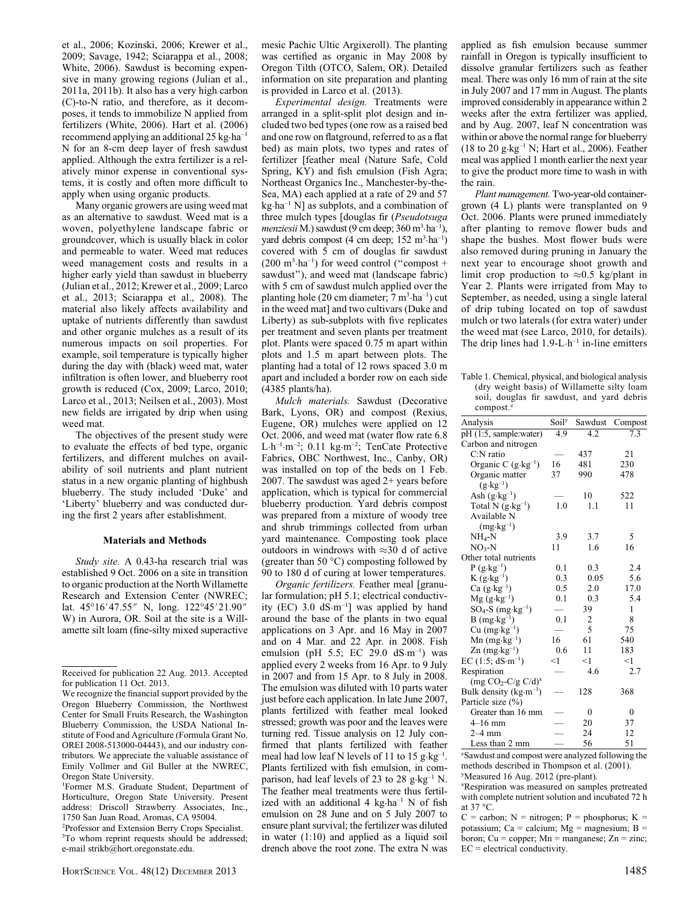et al., 2006; Kozinski, 2006; Krewer et al., 2009; Savage, 1942; Sciarappa et al., 2008; White, 2006). Sawdust is becoming expensive in many growing regions (Julian et al., 2011a, 2011b). It also has a very high carbon (C)-to-N ratio, and therefore, as it decomposes, it tends to immobilize N applied from fertilizers (White, 2006). Hart et al. (2006) recommend applying an additional 25 kg·ha–1 N for an 8-cm deep layer of fresh sawdust applied. Although the extra fertilizer is a relatively minor expense in conventional systems, it is costly and often more difficult to apply when using organic products.

Many organic growers are using weed mat as an alternative to sawdust. Weed mat is a woven, polyethylene landscape fabric or groundcover, which is usually black in color and permeable to water. Weed mat reduces weed management costs and results in a higher early yield than sawdust in blueberry (Julian et al., 2012; Krewer et al., 2009; Larco et al., 2013; Sciarappa et al., 2008). The material also likely affects availability and uptake of nutrients differently than sawdust and other organic mulches as a result of its numerous impacts on soil properties. For example, soil temperature is typically higher during the day with (black) weed mat, water infiltration is often lower, and blueberry root growth is reduced (Cox, 2009; Larco, 2010; Larco et al., 2013; Neilsen et al., 2003). Most new fields are irrigated by drip when using weed mat.

The objectives of the present study were to evaluate the effects of bed type, organic fertilizers, and different mulches on availability of soil nutrients and plant nutrient status in a new organic planting of highbush blueberry. The study included 'Duke' and 'Liberty' blueberry and was conducted during the first 2 years after establishment.

#### Materials and Methods

Study site. A 0.43-ha research trial was established 9 Oct. 2006 on a site in transition to organic production at the North Willamette Research and Extension Center (NWREC; lat.  $45^{\circ}16'47.55''$  N, long.  $122^{\circ}45'21.90''$ W) in Aurora, OR. Soil at the site is a Willamette silt loam (fine-silty mixed superactive

1 Former M.S. Graduate Student, Department of Horticulture, Oregon State University. Present address: Driscoll Strawberry Associates, Inc., 1750 San Juan Road, Aromas, CA 95004.

2 Professor and Extension Berry Crops Specialist. <sup>3</sup>To whom reprint requests should be addressed; e-mail strikb@hort.oregonstate.edu.

mesic Pachic Ultic Argixeroll). The planting was certified as organic in May 2008 by Oregon Tilth (OTCO, Salem, OR). Detailed information on site preparation and planting is provided in Larco et al. (2013).

Experimental design. Treatments were arranged in a split-split plot design and included two bed types (one row as a raised bed and one row on flatground, referred to as a flat bed) as main plots, two types and rates of fertilizer [feather meal (Nature Safe, Cold Spring, KY) and fish emulsion (Fish Agra; Northeast Organics Inc., Manchester-by-the-Sea, MA) each applied at a rate of 29 and 57  $kg \cdot ha^{-1}$  N] as subplots, and a combination of three mulch types [douglas fir (Pseudotsuga menziesii M.) sawdust (9 cm deep; 360 m<sup>3</sup>·ha<sup>-1</sup>), yard debris compost (4 cm deep; 152 m<sup>3</sup>·ha<sup>-1</sup>) covered with 5 cm of douglas fir sawdust  $(200 \text{ m}^3 \cdot \text{ha}^{-1})$  for weed control ("compost + sawdust''), and weed mat (landscape fabric) with 5 cm of sawdust mulch applied over the planting hole (20 cm diameter; 7 m<sup>3</sup>·ha<sup>-1</sup>) cut in the weed mat] and two cultivars (Duke and Liberty) as sub-subplots with five replicates per treatment and seven plants per treatment plot. Plants were spaced 0.75 m apart within plots and 1.5 m apart between plots. The planting had a total of 12 rows spaced 3.0 m apart and included a border row on each side (4385 plants/ha).

Mulch materials. Sawdust (Decorative Bark, Lyons, OR) and compost (Rexius, Eugene, OR) mulches were applied on 12 Oct. 2006, and weed mat (water flow rate 6.8 L $\cdot$ h<sup>-1</sup>·m<sup>-2</sup>; 0.11 kg·m<sup>-2</sup>; TenCate Protective Fabrics, OBC Northwest, Inc., Canby, OR) was installed on top of the beds on 1 Feb. 2007. The sawdust was aged 2+ years before application, which is typical for commercial blueberry production. Yard debris compost was prepared from a mixture of woody tree and shrub trimmings collected from urban yard maintenance. Composting took place outdoors in windrows with  $\approx$ 30 d of active (greater than 50  $^{\circ}$ C) composting followed by 90 to 180 d of curing at lower temperatures.

Organic fertilizers. Feather meal [granular formulation; pH 5.1; electrical conductivity (EC) 3.0  $dS·m<sup>-1</sup>$ ] was applied by hand around the base of the plants in two equal applications on 3 Apr. and 16 May in 2007 and on 4 Mar. and 22 Apr. in 2008. Fish emulsion (pH 5.5; EC 29.0  $dS·m^{-1}$ ) was applied every 2 weeks from 16 Apr. to 9 July in 2007 and from 15 Apr. to 8 July in 2008. The emulsion was diluted with 10 parts water just before each application. In late June 2007, plants fertilized with feather meal looked stressed; growth was poor and the leaves were turning red. Tissue analysis on 12 July confirmed that plants fertilized with feather meal had low leaf N levels of 11 to 15  $g \cdot kg^{-1}$ . Plants fertilized with fish emulsion, in comparison, had leaf levels of 23 to 28  $g \cdot kg^{-1}$  N. The feather meal treatments were thus fertilized with an additional  $4 \text{ kg} \cdot \text{ha}^{-1} \text{ N}$  of fish emulsion on 28 June and on 5 July 2007 to ensure plant survival; the fertilizer was diluted in water (1:10) and applied as a liquid soil drench above the root zone. The extra N was

applied as fish emulsion because summer rainfall in Oregon is typically insufficient to dissolve granular fertilizers such as feather meal. There was only 16 mm of rain at the site in July 2007 and 17 mm in August. The plants improved considerably in appearance within 2 weeks after the extra fertilizer was applied, and by Aug. 2007, leaf N concentration was within or above the normal range for blueberry (18 to 20  $g \cdot kg^{-1}$  N; Hart et al., 2006). Feather meal was applied 1 month earlier the next year to give the product more time to wash in with the rain.

Plant management. Two-year-old containergrown (4 L) plants were transplanted on 9 Oct. 2006. Plants were pruned immediately after planting to remove flower buds and shape the bushes. Most flower buds were also removed during pruning in January the next year to encourage shoot growth and limit crop production to  $\approx 0.5$  kg/plant in Year 2. Plants were irrigated from May to September, as needed, using a single lateral of drip tubing located on top of sawdust mulch or two laterals (for extra water) under the weed mat (see Larco, 2010, for details). The drip lines had  $1.9-L·h^{-1}$  in-line emitters

Table 1. Chemical, physical, and biological analysis (dry weight basis) of Willamette silty loam soil, douglas fir sawdust, and yard debris compost.<sup>z</sup>

| Analysis                            | Soily | Sawdust | Compost      |
|-------------------------------------|-------|---------|--------------|
| pH (1:5, sample:water)              | 4.9   | 4.2     | 7.3          |
| Carbon and nitrogen                 |       |         |              |
| $C:N$ ratio                         |       | 437     | 21           |
| Organic C $(g \cdot kg^{-1})$       | 16    | 481     | 230          |
| Organic matter                      | 37    | 990     | 478          |
| $(g \cdot kg^{-1})$                 |       |         |              |
| Ash $(g \cdot kg^{-1})$             |       | 10      | 522          |
| Total N $(g \cdot kg^{-1})$         | 1.0   | 1.1     | 11           |
| Available N                         |       |         |              |
| $(mg \cdot kg^{-1})$                |       |         |              |
| $NH_4-N$                            | 3.9   | 3.7     | 5            |
| $NO3-N$                             | 11    | 1.6     | 16           |
| Other total nutrients               |       |         |              |
| $P(g \cdot kg^{-1})$                | 0.1   | 0.3     | 2.4          |
| $K(g \cdot kg^{-1})$                | 0.3   | 0.05    | 5.6          |
| $Ca$ (g $\cdot$ kg <sup>-1</sup> )  | 0.5   | 2.0     | 17.0         |
| $Mg (g \cdot kg^{-1})$              | 0.1   | 0.3     | 5.4          |
| $SO_4$ -S (mg·kg <sup>-1</sup> )    |       | 39      | 1            |
| $B$ (mg $\cdot$ kg <sup>-1</sup> )  | 0.1   | 2       | 8            |
| $Cu$ (mg $\cdot$ kg <sup>-1</sup> ) |       | 5       | 75           |
| $Mn$ (mg $\cdot$ kg <sup>-1</sup> ) | 16    | 61      | 540          |
| $\text{Zn (mg·kg}^{-1})$            | 0.6   | 11      | 183          |
| EC $(1:5; dS·m^{-1})$               | $<$ 1 | $<$ 1   | <1           |
| Respiration                         |       | 4.6     | 2.7          |
| (mg $CO_2$ -C/g C/d) <sup>x</sup>   |       |         |              |
| Bulk density ( $kg·m-3$ )           |       | 128     | 368          |
| Particle size (%)                   |       |         |              |
| Greater than 16 mm                  |       | 0       | $\mathbf{0}$ |
| $4 - 16$ mm                         |       | 20      | 37           |
| $2-4$ mm                            |       | 24      | 12           |
| Less than 2 mm                      |       | 56      | 51           |

z Sawdust and compost were analyzed following the methods described in Thompson et al. (2001). y Measured 16 Aug. 2012 (pre-plant).

x Respiration was measured on samples pretreated with complete nutrient solution and incubated 72 h at 37  $^{\circ}$ C.

 $C =$  carbon; N = nitrogen; P = phosphorus; K = potassium; Ca = calcium;  $Mg =$  magnesium; B = boron; Cu = copper; Mn = manganese; Zn = zinc; EC = electrical conductivity.

Received for publication 22 Aug. 2013. Accepted for publication 11 Oct. 2013.

We recognize the financial support provided by the Oregon Blueberry Commission, the Northwest Center for Small Fruits Research, the Washington Blueberry Commission, the USDA National Institute of Food and Agriculture (Formula Grant No. OREI 2008-513000-04443), and our industry contributors. We appreciate the valuable assistance of Emily Vollmer and Gil Buller at the NWREC, Oregon State University.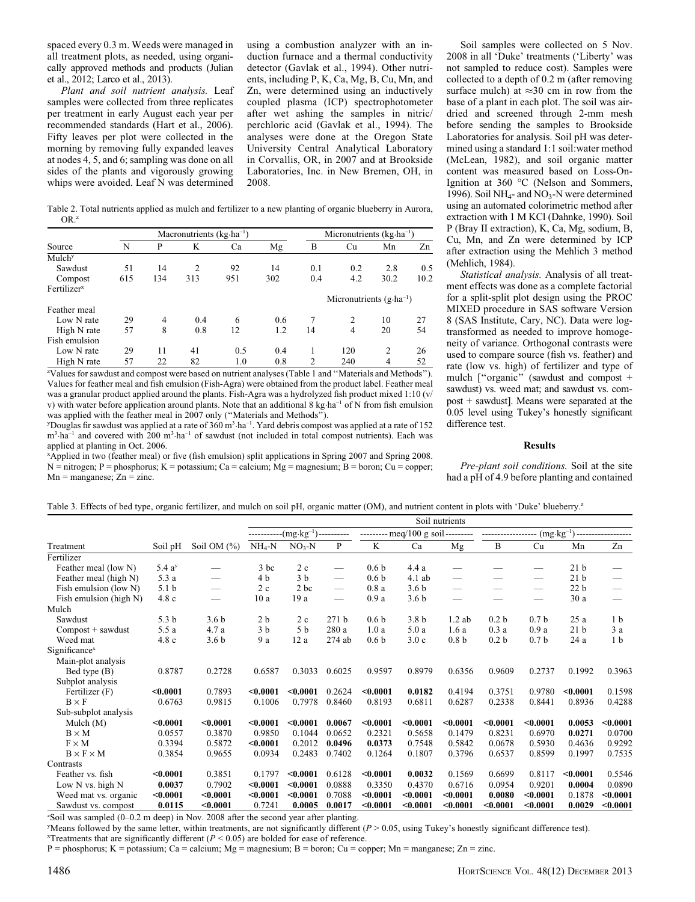spaced every 0.3 m. Weeds were managed in all treatment plots, as needed, using organically approved methods and products (Julian et al., 2012; Larco et al., 2013).

Plant and soil nutrient analysis. Leaf samples were collected from three replicates per treatment in early August each year per recommended standards (Hart et al., 2006). Fifty leaves per plot were collected in the morning by removing fully expanded leaves at nodes 4, 5, and 6; sampling was done on all sides of the plants and vigorously growing whips were avoided. Leaf N was determined

using a combustion analyzer with an induction furnace and a thermal conductivity detector (Gavlak et al., 1994). Other nutrients, including P, K, Ca, Mg, B, Cu, Mn, and Zn, were determined using an inductively coupled plasma (ICP) spectrophotometer after wet ashing the samples in nitric/ perchloric acid (Gavlak et al., 1994). The analyses were done at the Oregon State University Central Analytical Laboratory in Corvallis, OR, in 2007 and at Brookside Laboratories, Inc. in New Bremen, OH, in 2008.

Table 2. Total nutrients applied as mulch and fertilizer to a new planting of organic blueberry in Aurora, OR.<sup>z</sup>

|                         |     |                | Macronutrients $(kg \cdot ha^{-1})$ |     |     |     | Micronutrients $(kg \cdot ha^{-1})$ |                |      |
|-------------------------|-----|----------------|-------------------------------------|-----|-----|-----|-------------------------------------|----------------|------|
| Source                  | N   | P              | K                                   | Ca  | Mg  | B   | Cu                                  | Mn             | Zn   |
| Mulch <sup>y</sup>      |     |                |                                     |     |     |     |                                     |                |      |
| Sawdust                 | 51  | 14             | $\overline{c}$                      | 92  | 14  | 0.1 | 0.2                                 | 2.8            | 0.5  |
| Compost                 | 615 | 134            | 313                                 | 951 | 302 | 0.4 | 4.2                                 | 30.2           | 10.2 |
| Fertilizer <sup>x</sup> |     |                |                                     |     |     |     |                                     |                |      |
|                         |     |                |                                     |     |     |     | Micronutrients $(g \cdot ha^{-1})$  |                |      |
| Feather meal            |     |                |                                     |     |     |     |                                     |                |      |
| Low N rate              | 29  | $\overline{4}$ | 0.4                                 | 6   | 0.6 | 7   | $\mathfrak{D}_{\mathfrak{p}}$       | 10             | 27   |
| High N rate             | 57  | 8              | 0.8                                 | 12  | 1.2 | 14  | 4                                   | 20             | 54   |
| Fish emulsion           |     |                |                                     |     |     |     |                                     |                |      |
| Low N rate              | 29  | 11             | 41                                  | 0.5 | 0.4 |     | 120                                 | $\overline{c}$ | 26   |
| High N rate             | 57  | 22             | 82                                  | 1.0 | 0.8 | 2   | 240                                 | $\overline{4}$ | 52   |

z Values for sawdust and compost were based on nutrient analyses (Table 1 and ''Materials and Methods''). Values for feather meal and fish emulsion (Fish-Agra) were obtained from the product label. Feather meal was a granular product applied around the plants. Fish-Agra was a hydrolyzed fish product mixed 1:10 (v/ v) with water before application around plants. Note that an additional 8 kg·ha<sup>-1</sup> of N from fish emulsion was applied with the feather meal in 2007 only (''Materials and Methods'').

<sup>y</sup>Douglas fir sawdust was applied at a rate of 360 m<sup>3</sup>·ha<sup>-1</sup>. Yard debris compost was applied at a rate of 152 m<sup>3</sup> ha<sup>-1</sup> and covered with 200 m<sup>3</sup> ha<sup>-1</sup> of sawdust (not included in total compost nutrients). Each was applied at planting in Oct. 2006.

x Applied in two (feather meal) or five (fish emulsion) split applications in Spring 2007 and Spring 2008. N = nitrogen; P = phosphorus; K = potassium; Ca = calcium; Mg = magnesium; B = boron; Cu = copper;  $Mn =$  manganese;  $Zn =$  zinc.

Soil samples were collected on 5 Nov. 2008 in all 'Duke' treatments ('Liberty' was not sampled to reduce cost). Samples were collected to a depth of 0.2 m (after removing surface mulch) at  $\approx 30$  cm in row from the base of a plant in each plot. The soil was airdried and screened through 2-mm mesh before sending the samples to Brookside Laboratories for analysis. Soil pH was determined using a standard 1:1 soil:water method (McLean, 1982), and soil organic matter content was measured based on Loss-On-Ignition at 360 °C (Nelson and Sommers, 1996). Soil NH<sub>4</sub>- and NO<sub>3</sub>-N were determined using an automated colorimetric method after extraction with 1 M KCl (Dahnke, 1990). Soil P (Bray II extraction), K, Ca, Mg, sodium, B, Cu, Mn, and Zn were determined by ICP after extraction using the Mehlich 3 method (Mehlich, 1984).

Statistical analysis. Analysis of all treatment effects was done as a complete factorial for a split-split plot design using the PROC MIXED procedure in SAS software Version 8 (SAS Institute, Cary, NC). Data were logtransformed as needed to improve homogeneity of variance. Orthogonal contrasts were used to compare source (fish vs. feather) and rate (low vs. high) of fertilizer and type of mulch ["organic" (sawdust and compost + sawdust) vs. weed mat; and sawdust vs. compost + sawdust]. Means were separated at the 0.05 level using Tukey's honestly significant difference test.

#### Results

Pre-plant soil conditions. Soil at the site had a pH of 4.9 before planting and contained

Table 3. Effects of bed type, organic fertilizer, and mulch on soil pH, organic matter (OM), and nutrient content in plots with 'Duke' blueberry.<sup>z</sup>

|                           |                       |                               | Soil nutrients |                              |                               |                  |                                    |                          |                          |                               |                 |                |
|---------------------------|-----------------------|-------------------------------|----------------|------------------------------|-------------------------------|------------------|------------------------------------|--------------------------|--------------------------|-------------------------------|-----------------|----------------|
|                           |                       |                               |                | -(mg·kg <sup>-1</sup> )----- | ------                        |                  | --------- meq/100 g soil --------- |                          |                          | $(mg \cdot kg^{-1})$          |                 |                |
| Treatment                 | Soil pH               | Soil OM $(\%)$                | $NH4-N$        | $NO3-N$                      | P                             | K                | Ca                                 | Mg                       | B                        | Cu                            | Mn              | Zn             |
| Fertilizer                |                       |                               |                |                              |                               |                  |                                    |                          |                          |                               |                 |                |
| Feather meal (low N)      | 5.4a <sup>y</sup>     |                               | $3$ bc         | 2c                           |                               | 0.6 <sub>b</sub> | 4.4a                               |                          |                          |                               | 21 <sub>b</sub> |                |
| Feather meal (high N)     | 5.3 a                 | $\overbrace{\phantom{12332}}$ | 4 b            | 3 <sub>b</sub>               | $\overbrace{\phantom{aaaaa}}$ | 0.6 <sub>b</sub> | $4.1$ ab                           | $\overline{\phantom{0}}$ |                          |                               | 21 <sub>b</sub> |                |
| Fish emulsion (low N)     | 5.1 <sub>b</sub>      | $\qquad \qquad$               | 2c             | 2 bc                         |                               | 0.8a             | 3.6 <sub>b</sub>                   |                          | $\overline{\phantom{0}}$ | $\overbrace{\phantom{12333}}$ | 22 <sub>b</sub> |                |
| Fish emulsion (high N)    | 4.8c                  |                               | 10a            | 19 a                         | $\overline{\phantom{0}}$      | 0.9a             | 3.6 <sub>b</sub>                   |                          |                          |                               | 30a             |                |
| Mulch                     |                       |                               |                |                              |                               |                  |                                    |                          |                          |                               |                 |                |
| Sawdust                   | 5.3 <sub>b</sub>      | 3.6 <sub>b</sub>              | 2 <sub>b</sub> | 2c                           | 271 <sub>b</sub>              | 0.6 <sub>b</sub> | 3.8 <sub>b</sub>                   | $1.2$ ab                 | 0.2 <sub>b</sub>         | 0.7 <sub>b</sub>              | 25a             | 1 <sub>b</sub> |
| $Compost + sawdust$       | 5.5 a                 | 4.7 a                         | 3 <sub>b</sub> | 5 <sub>b</sub>               | 280 a                         | 1.0a             | 5.0a                               | 1.6a                     | 0.3a                     | 0.9a                          | 21 <sub>b</sub> | 3a             |
| Weed mat                  | 4.8c                  | 3.6 <sub>b</sub>              | 9 a            | 12a                          | 274 ab                        | 0.6 <sub>b</sub> | 3.0c                               | 0.8 <sub>b</sub>         | 0.2 <sub>b</sub>         | 0.7 <sub>b</sub>              | 24 a            | 1 <sub>b</sub> |
| Significance <sup>x</sup> |                       |                               |                |                              |                               |                  |                                    |                          |                          |                               |                 |                |
| Main-plot analysis        |                       |                               |                |                              |                               |                  |                                    |                          |                          |                               |                 |                |
| Bed type (B)              | 0.8787                | 0.2728                        | 0.6587         | 0.3033                       | 0.6025                        | 0.9597           | 0.8979                             | 0.6356                   | 0.9609                   | 0.2737                        | 0.1992          | 0.3963         |
| Subplot analysis          |                       |                               |                |                              |                               |                  |                                    |                          |                          |                               |                 |                |
| Fertilizer (F)            | < 0.0001              | 0.7893                        | < 0.0001       | $0.0001$                     | 0.2624                        | < 0.0001         | 0.0182                             | 0.4194                   | 0.3751                   | 0.9780                        | < 0.0001        | 0.1598         |
| $B \times F$              | 0.6763                | 0.9815                        | 0.1006         | 0.7978                       | 0.8460                        | 0.8193           | 0.6811                             | 0.6287                   | 0.2338                   | 0.8441                        | 0.8936          | 0.4288         |
| Sub-subplot analysis      |                       |                               |                |                              |                               |                  |                                    |                          |                          |                               |                 |                |
| Mulch $(M)$               | $0.0001$              | < 0.0001                      | < 0.0001       | $0.0001$                     | 0.0067                        | < 0.0001         | $0.0001$                           | < 0.0001                 | < 0.0001                 | $0.0001$                      | 0.0053          | $0.0001$       |
| $B \times M$              | 0.0557                | 0.3870                        | 0.9850         | 0.1044                       | 0.0652                        | 0.2321           | 0.5658                             | 0.1479                   | 0.8231                   | 0.6970                        | 0.0271          | 0.0700         |
| $F \times M$              | 0.3394                | 0.5872                        | < 0.0001       | 0.2012                       | 0.0496                        | 0.0373           | 0.7548                             | 0.5842                   | 0.0678                   | 0.5930                        | 0.4636          | 0.9292         |
| $B \times F \times M$     | 0.3854                | 0.9655                        | 0.0934         | 0.2483                       | 0.7402                        | 0.1264           | 0.1807                             | 0.3796                   | 0.6537                   | 0.8599                        | 0.1997          | 0.7535         |
| Contrasts                 |                       |                               |                |                              |                               |                  |                                    |                          |                          |                               |                 |                |
| Feather vs. fish          | $0.0001$              | 0.3851                        | 0.1797         | < 0.0001                     | 0.6128                        | < 0.0001         | 0.0032                             | 0.1569                   | 0.6699                   | 0.8117                        | < 0.0001        | 0.5546         |
| Low N vs. high N          | 0.0037                | 0.7902                        | < 0.0001       | < 0.0001                     | 0.0888                        | 0.3350           | 0.4370                             | 0.6716                   | 0.0954                   | 0.9201                        | 0.0004          | 0.0890         |
| Weed mat vs. organic      | $0.0001$              | < 0.0001                      | < 0.0001       | $0.0001$                     | 0.7088                        | $0.0001$         | $0.0001$                           | < 0.0001                 | 0.0080                   | $0.0001$                      | 0.1878          | $0.0001$       |
| Sawdust vs. compost       | 0.0115                | < 0.0001                      | 0.7241         | 0.0005                       | 0.0017                        | $0.0001$         | $0.0001$                           | < 0.0001                 | $0.0001$                 | $0.0001$                      | 0.0029          | $0.0001$       |
| 11/0.02                   | $1 \times 1 \times 1$ | $0.000 \quad 0 \quad 1$       |                |                              |                               |                  |                                    |                          |                          |                               |                 |                |

z Soil was sampled (0–0.2 m deep) in Nov. 2008 after the second year after planting.

 $y$ Means followed by the same letter, within treatments, are not significantly different  $(P > 0.05$ , using Tukey's honestly significant difference test).

 $x$ Treatments that are significantly different ( $P < 0.05$ ) are bolded for ease of reference.

 $P =$  phosphorus; K = potassium; Ca = calcium; Mg = magnesium; B = boron; Cu = copper; Mn = manganese; Zn = zinc.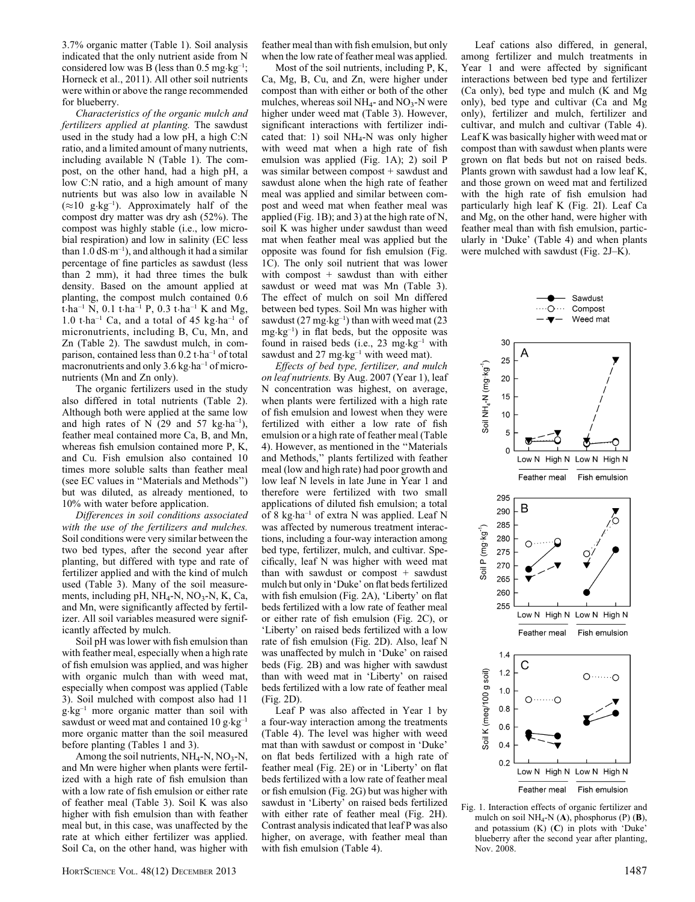3.7% organic matter (Table 1). Soil analysis indicated that the only nutrient aside from N considered low was B (less than  $0.5 \text{ mg} \cdot \text{kg}^{-1}$ ; Horneck et al., 2011). All other soil nutrients were within or above the range recommended for blueberry.

Characteristics of the organic mulch and fertilizers applied at planting. The sawdust used in the study had a low pH, a high C:N ratio, and a limited amount of many nutrients, including available N (Table 1). The compost, on the other hand, had a high pH, a low C:N ratio, and a high amount of many nutrients but was also low in available N  $(\approx 10 \text{ g} \cdot \text{kg}^{-1})$ . Approximately half of the compost dry matter was dry ash (52%). The compost was highly stable (i.e., low microbial respiration) and low in salinity (EC less than  $1.0 \text{ dS·m}^{-1}$ , and although it had a similar percentage of fine particles as sawdust (less than 2 mm), it had three times the bulk density. Based on the amount applied at planting, the compost mulch contained 0.6 t·ha<sup>-1</sup> N, 0.1 t·ha<sup>-1</sup> P, 0.3 t·ha<sup>-1</sup> K and Mg, 1.0 t $\cdot$ ha<sup>-1</sup> Ca, and a total of 45 kg $\cdot$ ha<sup>-1</sup> of micronutrients, including B, Cu, Mn, and Zn (Table 2). The sawdust mulch, in comparison, contained less than 0.2 t·ha–1 of total macronutrients and only  $3.6 \text{ kg} \cdot \text{ha}^{-1}$  of micronutrients (Mn and Zn only).

The organic fertilizers used in the study also differed in total nutrients (Table 2). Although both were applied at the same low and high rates of N  $(29 \text{ and } 57 \text{ kg} \cdot \text{ha}^{-1})$ , feather meal contained more Ca, B, and Mn, whereas fish emulsion contained more P, K, and Cu. Fish emulsion also contained 10 times more soluble salts than feather meal (see EC values in ''Materials and Methods'') but was diluted, as already mentioned, to 10% with water before application.

Differences in soil conditions associated with the use of the fertilizers and mulches. Soil conditions were very similar between the two bed types, after the second year after planting, but differed with type and rate of fertilizer applied and with the kind of mulch used (Table 3). Many of the soil measurements, including pH, NH<sub>4</sub>-N, NO<sub>3</sub>-N, K, Ca, and Mn, were significantly affected by fertilizer. All soil variables measured were significantly affected by mulch.

Soil pH was lower with fish emulsion than with feather meal, especially when a high rate of fish emulsion was applied, and was higher with organic mulch than with weed mat, especially when compost was applied (Table 3). Soil mulched with compost also had 11 g·kg–1 more organic matter than soil with sawdust or weed mat and contained  $10 \text{ g} \cdot \text{kg}^{-1}$ more organic matter than the soil measured before planting (Tables 1 and 3).

Among the soil nutrients,  $NH_4-N$ ,  $NO_3-N$ , and Mn were higher when plants were fertilized with a high rate of fish emulsion than with a low rate of fish emulsion or either rate of feather meal (Table 3). Soil K was also higher with fish emulsion than with feather meal but, in this case, was unaffected by the rate at which either fertilizer was applied. Soil Ca, on the other hand, was higher with

feather meal than with fish emulsion, but only when the low rate of feather meal was applied.

Most of the soil nutrients, including P, K, Ca, Mg, B, Cu, and Zn, were higher under compost than with either or both of the other mulches, whereas soil  $NH<sub>4</sub>$ - and  $NO<sub>3</sub>$ -N were higher under weed mat (Table 3). However, significant interactions with fertilizer indicated that: 1) soil  $NH_4-N$  was only higher with weed mat when a high rate of fish emulsion was applied (Fig. 1A); 2) soil P was similar between compost + sawdust and sawdust alone when the high rate of feather meal was applied and similar between compost and weed mat when feather meal was applied (Fig. 1B); and 3) at the high rate of N, soil K was higher under sawdust than weed mat when feather meal was applied but the opposite was found for fish emulsion (Fig. 1C). The only soil nutrient that was lower with compost + sawdust than with either sawdust or weed mat was Mn (Table 3). The effect of mulch on soil Mn differed between bed types. Soil Mn was higher with sawdust  $(27 \text{ mg} \cdot \text{kg}^{-1})$  than with weed mat  $(23$  $mg \cdot kg^{-1}$ ) in flat beds, but the opposite was found in raised beds (i.e.,  $23 \text{ mg} \cdot \text{kg}^{-1}$  with sawdust and  $27 \text{ mg} \cdot \text{kg}^{-1}$  with weed mat).

Effects of bed type, fertilizer, and mulch on leaf nutrients. By Aug. 2007 (Year 1), leaf N concentration was highest, on average, when plants were fertilized with a high rate of fish emulsion and lowest when they were fertilized with either a low rate of fish emulsion or a high rate of feather meal (Table 4). However, as mentioned in the ''Materials and Methods,'' plants fertilized with feather meal (low and high rate) had poor growth and low leaf N levels in late June in Year 1 and therefore were fertilized with two small applications of diluted fish emulsion; a total of 8 kg·ha–1 of extra N was applied. Leaf N was affected by numerous treatment interactions, including a four-way interaction among bed type, fertilizer, mulch, and cultivar. Specifically, leaf N was higher with weed mat than with sawdust or compost  $+$  sawdust mulch but only in 'Duke' on flat beds fertilized with fish emulsion (Fig. 2A), 'Liberty' on flat beds fertilized with a low rate of feather meal or either rate of fish emulsion (Fig. 2C), or 'Liberty' on raised beds fertilized with a low rate of fish emulsion (Fig. 2D). Also, leaf N was unaffected by mulch in 'Duke' on raised beds (Fig. 2B) and was higher with sawdust than with weed mat in 'Liberty' on raised beds fertilized with a low rate of feather meal (Fig. 2D).

Leaf P was also affected in Year 1 by a four-way interaction among the treatments (Table 4). The level was higher with weed mat than with sawdust or compost in 'Duke' on flat beds fertilized with a high rate of feather meal (Fig. 2E) or in 'Liberty' on flat beds fertilized with a low rate of feather meal or fish emulsion (Fig. 2G) but was higher with sawdust in 'Liberty' on raised beds fertilized with either rate of feather meal (Fig. 2H). Contrast analysis indicated that leaf P was also higher, on average, with feather meal than with fish emulsion (Table 4).

HORTSCIENCE VOL. 48(12) DECEMBER 2013 1487



Leaf cations also differed, in general, among fertilizer and mulch treatments in Year 1 and were affected by significant interactions between bed type and fertilizer (Ca only), bed type and mulch (K and Mg only), bed type and cultivar (Ca and Mg only), fertilizer and mulch, fertilizer and cultivar, and mulch and cultivar (Table 4). Leaf K was basically higher with weed mat or compost than with sawdust when plants were grown on flat beds but not on raised beds. Plants grown with sawdust had a low leaf K, and those grown on weed mat and fertilized with the high rate of fish emulsion had particularly high leaf K (Fig. 2I). Leaf Ca and Mg, on the other hand, were higher with feather meal than with fish emulsion, particularly in 'Duke' (Table 4) and when plants were mulched with sawdust (Fig. 2J–K).

Sawdust

Compost

 $\cdot$ O $\cdots$ 

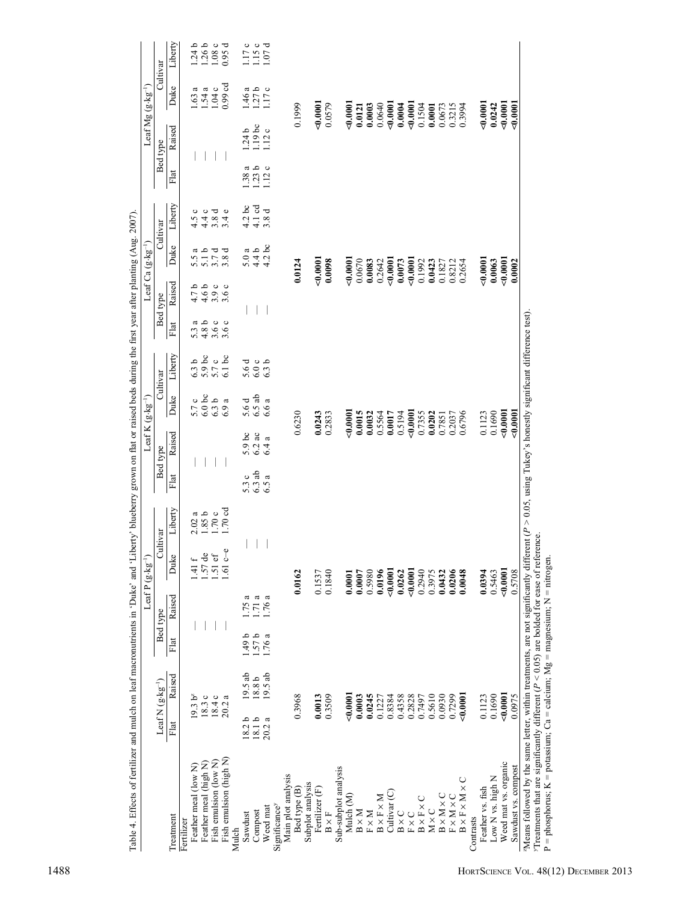| 0.0015<br>0.2833<br>5000<br>Raised<br>$5.9$ bc<br>$6.2$ ac<br>ದ<br>6.4<br>Bed type<br>6.3ab<br>5.3c<br>ß<br>Flat<br>6.5<br>$1.70 c$<br>$1.70 cd$<br>Liberty<br>1.85b<br>2.02a<br>Cultivar<br>φ<br>Duke<br>1.41 f<br>$1.57$ de<br>$1.51$ ef<br>$1.61$ c-<br>$-0.0001$<br>50001<br>0.3975<br>0.0162<br>0.1840<br>0.0196<br>0.0262<br>0.2940<br>0.1537<br>0.0007<br>0.5980<br>0.0001<br>Raised<br>a<br>1.71a<br>1.76 a<br>1.75<br>Bed type<br>1.57b<br>1.49 <sub>b</sub><br>1.76 a<br>Flat<br>$19.5$ ab<br>$19.5$ ab<br>Raised<br>$18.8\,\mathrm{b}$<br>Leaf N $(g \cdot kg^{-1})$<br>19.3 b <sup>z</sup><br>18.3c<br>0.3968<br>0.3509<br>5000,000<br>0.0245<br>0.4358<br>0.2828<br>0.7497<br>0.5610<br>18.4 c<br>20.2a<br>0.0013<br>0.0003<br>0.8384<br>0.1227<br>18.2 <sub>b</sub><br>$18.1 b$<br>ß<br>Flat<br>20.2<br>Fish emulsion (high N)<br>Fish emulsion (low N)<br>Feather meal (high N)<br>Feather meal (low N)<br>Sub-subplot analysis<br>Main plot analysis<br>Subplot analysis<br>Bed type (B)<br>Fertilizer (F)<br>Cultivar <sub>(C)</sub><br>Mulch (M)<br>$\text{B} \times \text{F} \times \text{M}$<br>$B \times F \times C$<br>Significance <sup>y</sup><br>Weed mat<br>$M \times C$<br>$\text{B}\times\text{M}$<br>$\textbf{F}\times\textbf{M}$<br>$B \times C$<br>Compost<br>$\mathbf{B}\times\mathbf{F}$<br>$\mathbf{F}\times\mathbf{C}$<br>Sawdust<br>Treatment<br>Fertilizer<br>Mulch |        |         |                                           |                                                                                                                                                                                                                                                                                                                                                              | Leaf Ca $(g \cdot kg^{-1})$ |                                |                                             | Leaf $Mg$ $(g \cdot kg^{-1})$ |                      |
|----------------------------------------------------------------------------------------------------------------------------------------------------------------------------------------------------------------------------------------------------------------------------------------------------------------------------------------------------------------------------------------------------------------------------------------------------------------------------------------------------------------------------------------------------------------------------------------------------------------------------------------------------------------------------------------------------------------------------------------------------------------------------------------------------------------------------------------------------------------------------------------------------------------------------------------------------------------------------------------------------------------------------------------------------------------------------------------------------------------------------------------------------------------------------------------------------------------------------------------------------------------------------------------------------------------------------------------------------------------------------------------------------------|--------|---------|-------------------------------------------|--------------------------------------------------------------------------------------------------------------------------------------------------------------------------------------------------------------------------------------------------------------------------------------------------------------------------------------------------------------|-----------------------------|--------------------------------|---------------------------------------------|-------------------------------|----------------------|
|                                                                                                                                                                                                                                                                                                                                                                                                                                                                                                                                                                                                                                                                                                                                                                                                                                                                                                                                                                                                                                                                                                                                                                                                                                                                                                                                                                                                          |        |         | Cultivar                                  | Bed type                                                                                                                                                                                                                                                                                                                                                     | Cultivar                    |                                | Bed type                                    |                               | Cultivar             |
|                                                                                                                                                                                                                                                                                                                                                                                                                                                                                                                                                                                                                                                                                                                                                                                                                                                                                                                                                                                                                                                                                                                                                                                                                                                                                                                                                                                                          |        |         | Liberty<br>Duke                           | Raised<br>Flat                                                                                                                                                                                                                                                                                                                                               | Duke                        | Liberty                        | Raised<br>Flat                              | Duke                          | Liberty              |
|                                                                                                                                                                                                                                                                                                                                                                                                                                                                                                                                                                                                                                                                                                                                                                                                                                                                                                                                                                                                                                                                                                                                                                                                                                                                                                                                                                                                          |        |         | 5.7 c                                     |                                                                                                                                                                                                                                                                                                                                                              | 5.5                         |                                |                                             | 1.63                          |                      |
|                                                                                                                                                                                                                                                                                                                                                                                                                                                                                                                                                                                                                                                                                                                                                                                                                                                                                                                                                                                                                                                                                                                                                                                                                                                                                                                                                                                                          |        |         | 6.3 <sub>b</sub>                          | a<br>5.3                                                                                                                                                                                                                                                                                                                                                     | ದ                           | $\circ$<br>4.5                 |                                             | a                             | $1.24 b$<br>$1.26 b$ |
|                                                                                                                                                                                                                                                                                                                                                                                                                                                                                                                                                                                                                                                                                                                                                                                                                                                                                                                                                                                                                                                                                                                                                                                                                                                                                                                                                                                                          |        |         | $5.9$ bc<br>$5.7$ c<br>$6.0\,\mathrm{bc}$ | $\begin{array}{c} 1 & 0 & 0 \\ 7 & 0 & 0 \\ 7 & 0 & 0 \\ 4 & 7 & 0 \\ 1 & 0 & 0 \\ 1 & 0 & 0 \\ 1 & 0 & 0 \\ 1 & 0 & 0 \\ 1 & 0 & 0 \\ 1 & 0 & 0 \\ 1 & 0 & 0 \\ 1 & 0 & 0 \\ 1 & 0 & 0 \\ 1 & 0 & 0 \\ 1 & 0 & 0 \\ 1 & 0 & 0 \\ 1 & 0 & 0 \\ 1 & 0 & 0 \\ 1 & 0 & 0 \\ 1 & 0 & 0 \\ 1 & 0 & 0 \\ 1 & 0 & 0 \\ 1 & 0 & 0 \\ 1 & 0 &$<br>$4.8000$<br>$4.900$ | م<br>$\overline{5}$ .       | $0 7 4 8 4 6$<br>$4 3 4 6$     |                                             | 1.54a                         |                      |
|                                                                                                                                                                                                                                                                                                                                                                                                                                                                                                                                                                                                                                                                                                                                                                                                                                                                                                                                                                                                                                                                                                                                                                                                                                                                                                                                                                                                          |        |         | 6.3 <sub>b</sub>                          |                                                                                                                                                                                                                                                                                                                                                              | ರ<br>3.7                    |                                |                                             | 1.04c                         | $1.08c$<br>0.95 d    |
|                                                                                                                                                                                                                                                                                                                                                                                                                                                                                                                                                                                                                                                                                                                                                                                                                                                                                                                                                                                                                                                                                                                                                                                                                                                                                                                                                                                                          |        |         | 6.1bc<br>$\mathfrak{a}$<br>6.9            |                                                                                                                                                                                                                                                                                                                                                              | ರ<br>3.8                    |                                |                                             | $0.99$ cd                     | 0.95                 |
|                                                                                                                                                                                                                                                                                                                                                                                                                                                                                                                                                                                                                                                                                                                                                                                                                                                                                                                                                                                                                                                                                                                                                                                                                                                                                                                                                                                                          |        |         |                                           |                                                                                                                                                                                                                                                                                                                                                              |                             | ತ                              | 1.24 b<br>38                                |                               | 117                  |
|                                                                                                                                                                                                                                                                                                                                                                                                                                                                                                                                                                                                                                                                                                                                                                                                                                                                                                                                                                                                                                                                                                                                                                                                                                                                                                                                                                                                          |        |         | 5.6 d<br>5.6 d                            |                                                                                                                                                                                                                                                                                                                                                              | 5.0a                        | 4.2                            | $1.19$ bc<br>ß                              | a<br>1.46                     | $\circ$              |
|                                                                                                                                                                                                                                                                                                                                                                                                                                                                                                                                                                                                                                                                                                                                                                                                                                                                                                                                                                                                                                                                                                                                                                                                                                                                                                                                                                                                          |        |         | 6.0c<br>$6.5$ ab                          |                                                                                                                                                                                                                                                                                                                                                              | 4.4 b                       | $4.1$ cd                       | م<br>1.23                                   | 1.27b                         | ು ರ<br>1.15          |
|                                                                                                                                                                                                                                                                                                                                                                                                                                                                                                                                                                                                                                                                                                                                                                                                                                                                                                                                                                                                                                                                                                                                                                                                                                                                                                                                                                                                          |        |         | 6.3 <sub>b</sub><br>ß<br>6.6              |                                                                                                                                                                                                                                                                                                                                                              | $4.2$ bc                    | $\overline{\textbf{C}}$<br>3.8 | $\frac{12}{1}$<br>$\circ$<br>$\frac{12}{2}$ | 1.17 c<br>$\circ$             | 00 <sub>1</sub>      |
|                                                                                                                                                                                                                                                                                                                                                                                                                                                                                                                                                                                                                                                                                                                                                                                                                                                                                                                                                                                                                                                                                                                                                                                                                                                                                                                                                                                                          |        |         |                                           |                                                                                                                                                                                                                                                                                                                                                              |                             |                                |                                             |                               |                      |
|                                                                                                                                                                                                                                                                                                                                                                                                                                                                                                                                                                                                                                                                                                                                                                                                                                                                                                                                                                                                                                                                                                                                                                                                                                                                                                                                                                                                          |        |         |                                           |                                                                                                                                                                                                                                                                                                                                                              |                             |                                |                                             |                               |                      |
|                                                                                                                                                                                                                                                                                                                                                                                                                                                                                                                                                                                                                                                                                                                                                                                                                                                                                                                                                                                                                                                                                                                                                                                                                                                                                                                                                                                                          |        | 0.6230  |                                           |                                                                                                                                                                                                                                                                                                                                                              | 0.0124                      |                                |                                             | 0.1999                        |                      |
|                                                                                                                                                                                                                                                                                                                                                                                                                                                                                                                                                                                                                                                                                                                                                                                                                                                                                                                                                                                                                                                                                                                                                                                                                                                                                                                                                                                                          |        |         |                                           |                                                                                                                                                                                                                                                                                                                                                              |                             |                                |                                             |                               |                      |
|                                                                                                                                                                                                                                                                                                                                                                                                                                                                                                                                                                                                                                                                                                                                                                                                                                                                                                                                                                                                                                                                                                                                                                                                                                                                                                                                                                                                          |        | 0.0243  |                                           |                                                                                                                                                                                                                                                                                                                                                              | 0.0001                      |                                |                                             | 50000                         |                      |
|                                                                                                                                                                                                                                                                                                                                                                                                                                                                                                                                                                                                                                                                                                                                                                                                                                                                                                                                                                                                                                                                                                                                                                                                                                                                                                                                                                                                          |        |         |                                           |                                                                                                                                                                                                                                                                                                                                                              | 0.0098                      |                                |                                             | 0.0579                        |                      |
|                                                                                                                                                                                                                                                                                                                                                                                                                                                                                                                                                                                                                                                                                                                                                                                                                                                                                                                                                                                                                                                                                                                                                                                                                                                                                                                                                                                                          |        |         |                                           |                                                                                                                                                                                                                                                                                                                                                              |                             |                                |                                             |                               |                      |
|                                                                                                                                                                                                                                                                                                                                                                                                                                                                                                                                                                                                                                                                                                                                                                                                                                                                                                                                                                                                                                                                                                                                                                                                                                                                                                                                                                                                          |        |         |                                           |                                                                                                                                                                                                                                                                                                                                                              |                             |                                |                                             |                               |                      |
|                                                                                                                                                                                                                                                                                                                                                                                                                                                                                                                                                                                                                                                                                                                                                                                                                                                                                                                                                                                                                                                                                                                                                                                                                                                                                                                                                                                                          |        |         |                                           |                                                                                                                                                                                                                                                                                                                                                              | 0.0001                      |                                |                                             | 50.000                        |                      |
|                                                                                                                                                                                                                                                                                                                                                                                                                                                                                                                                                                                                                                                                                                                                                                                                                                                                                                                                                                                                                                                                                                                                                                                                                                                                                                                                                                                                          |        |         |                                           |                                                                                                                                                                                                                                                                                                                                                              | 0.0670                      |                                |                                             | 0.0121                        |                      |
|                                                                                                                                                                                                                                                                                                                                                                                                                                                                                                                                                                                                                                                                                                                                                                                                                                                                                                                                                                                                                                                                                                                                                                                                                                                                                                                                                                                                          |        | 0.0032  |                                           |                                                                                                                                                                                                                                                                                                                                                              | 0.0083                      |                                |                                             | 0.0003                        |                      |
|                                                                                                                                                                                                                                                                                                                                                                                                                                                                                                                                                                                                                                                                                                                                                                                                                                                                                                                                                                                                                                                                                                                                                                                                                                                                                                                                                                                                          |        | 0.5564  |                                           |                                                                                                                                                                                                                                                                                                                                                              | 0.2642                      |                                |                                             | 0.0640                        |                      |
|                                                                                                                                                                                                                                                                                                                                                                                                                                                                                                                                                                                                                                                                                                                                                                                                                                                                                                                                                                                                                                                                                                                                                                                                                                                                                                                                                                                                          |        | 0.0017  |                                           |                                                                                                                                                                                                                                                                                                                                                              | 0.0001                      |                                |                                             | 00000000                      |                      |
|                                                                                                                                                                                                                                                                                                                                                                                                                                                                                                                                                                                                                                                                                                                                                                                                                                                                                                                                                                                                                                                                                                                                                                                                                                                                                                                                                                                                          |        | 0.5194  |                                           |                                                                                                                                                                                                                                                                                                                                                              | 0.0073                      |                                |                                             | 0.0004                        |                      |
|                                                                                                                                                                                                                                                                                                                                                                                                                                                                                                                                                                                                                                                                                                                                                                                                                                                                                                                                                                                                                                                                                                                                                                                                                                                                                                                                                                                                          |        | 50001   |                                           |                                                                                                                                                                                                                                                                                                                                                              | &0.0001                     |                                |                                             | 0.000                         |                      |
|                                                                                                                                                                                                                                                                                                                                                                                                                                                                                                                                                                                                                                                                                                                                                                                                                                                                                                                                                                                                                                                                                                                                                                                                                                                                                                                                                                                                          |        | 0.7355  |                                           |                                                                                                                                                                                                                                                                                                                                                              | 0.1992                      |                                |                                             | 0.1504                        |                      |
|                                                                                                                                                                                                                                                                                                                                                                                                                                                                                                                                                                                                                                                                                                                                                                                                                                                                                                                                                                                                                                                                                                                                                                                                                                                                                                                                                                                                          |        | 0.0202  |                                           |                                                                                                                                                                                                                                                                                                                                                              | 0.0423                      |                                |                                             | 0.0001                        |                      |
| 0.0930<br>$B \times M \times C$                                                                                                                                                                                                                                                                                                                                                                                                                                                                                                                                                                                                                                                                                                                                                                                                                                                                                                                                                                                                                                                                                                                                                                                                                                                                                                                                                                          | 0.0432 | 0.7851  |                                           |                                                                                                                                                                                                                                                                                                                                                              | 0.1827                      |                                |                                             | 0.0673                        |                      |
| 0.0206<br>0.7299<br>$FXM \times C$                                                                                                                                                                                                                                                                                                                                                                                                                                                                                                                                                                                                                                                                                                                                                                                                                                                                                                                                                                                                                                                                                                                                                                                                                                                                                                                                                                       |        | 0.2037  |                                           |                                                                                                                                                                                                                                                                                                                                                              | 0.8212                      |                                |                                             | 0.3215                        |                      |
| 0.0048<br>5000,000<br>$B \times F \times M \times C$                                                                                                                                                                                                                                                                                                                                                                                                                                                                                                                                                                                                                                                                                                                                                                                                                                                                                                                                                                                                                                                                                                                                                                                                                                                                                                                                                     |        | 0.6796  |                                           |                                                                                                                                                                                                                                                                                                                                                              | 0.2654                      |                                |                                             | 0.3994                        |                      |
| Contrasts                                                                                                                                                                                                                                                                                                                                                                                                                                                                                                                                                                                                                                                                                                                                                                                                                                                                                                                                                                                                                                                                                                                                                                                                                                                                                                                                                                                                |        |         |                                           |                                                                                                                                                                                                                                                                                                                                                              |                             |                                |                                             |                               |                      |
| 0.0394<br>0.1123<br>Feather vs. fish                                                                                                                                                                                                                                                                                                                                                                                                                                                                                                                                                                                                                                                                                                                                                                                                                                                                                                                                                                                                                                                                                                                                                                                                                                                                                                                                                                     |        | 0.1123  |                                           |                                                                                                                                                                                                                                                                                                                                                              | 00000000                    |                                |                                             | 00000000                      |                      |
| 0.5463<br>0.1690<br>Low N vs. high N                                                                                                                                                                                                                                                                                                                                                                                                                                                                                                                                                                                                                                                                                                                                                                                                                                                                                                                                                                                                                                                                                                                                                                                                                                                                                                                                                                     |        | 0.1690  |                                           |                                                                                                                                                                                                                                                                                                                                                              | 0.0063                      |                                |                                             | 0.0242                        |                      |
| 0.0001<br>500000<br>Weed mat vs. organic                                                                                                                                                                                                                                                                                                                                                                                                                                                                                                                                                                                                                                                                                                                                                                                                                                                                                                                                                                                                                                                                                                                                                                                                                                                                                                                                                                 |        | 50000   |                                           |                                                                                                                                                                                                                                                                                                                                                              | 0.0001                      |                                |                                             | 0000000                       |                      |
|                                                                                                                                                                                                                                                                                                                                                                                                                                                                                                                                                                                                                                                                                                                                                                                                                                                                                                                                                                                                                                                                                                                                                                                                                                                                                                                                                                                                          |        |         |                                           |                                                                                                                                                                                                                                                                                                                                                              |                             |                                |                                             |                               |                      |
| Means followed by the same letter, within treatments, are not significantly different $(P > 0.05$ , using Tukey's honestly significant difference test)<br>0.5708<br>0.0975<br>Sawdust vs. compost                                                                                                                                                                                                                                                                                                                                                                                                                                                                                                                                                                                                                                                                                                                                                                                                                                                                                                                                                                                                                                                                                                                                                                                                       |        | 0000000 |                                           |                                                                                                                                                                                                                                                                                                                                                              | 0.0002                      |                                |                                             | 50000                         |                      |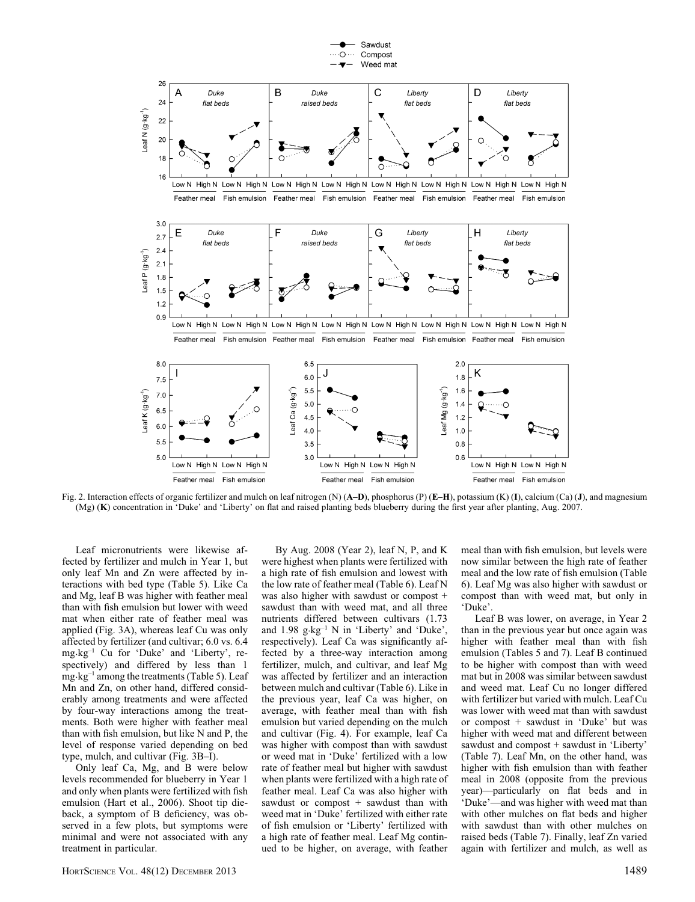

Fig. 2. Interaction effects of organic fertilizer and mulch on leaf nitrogen (N) (A–D), phosphorus (P) (E–H), potassium (K) (I), calcium (Ca) (J), and magnesium (Mg) (K) concentration in 'Duke' and 'Liberty' on flat and raised planting beds blueberry during the first year after planting, Aug. 2007.

Leaf micronutrients were likewise affected by fertilizer and mulch in Year 1, but only leaf Mn and Zn were affected by interactions with bed type (Table 5). Like Ca and Mg, leaf B was higher with feather meal than with fish emulsion but lower with weed mat when either rate of feather meal was applied (Fig. 3A), whereas leaf Cu was only affected by fertilizer (and cultivar; 6.0 vs. 6.4 mg·kg–1 Cu for 'Duke' and 'Liberty', respectively) and differed by less than 1 mg·kg–1 among the treatments (Table 5). Leaf Mn and Zn, on other hand, differed considerably among treatments and were affected by four-way interactions among the treatments. Both were higher with feather meal than with fish emulsion, but like N and P, the level of response varied depending on bed type, mulch, and cultivar (Fig. 3B–I).

Only leaf Ca, Mg, and B were below levels recommended for blueberry in Year 1 and only when plants were fertilized with fish emulsion (Hart et al., 2006). Shoot tip dieback, a symptom of B deficiency, was observed in a few plots, but symptoms were minimal and were not associated with any treatment in particular.

By Aug. 2008 (Year 2), leaf N, P, and K were highest when plants were fertilized with a high rate of fish emulsion and lowest with the low rate of feather meal (Table 6). Leaf N was also higher with sawdust or compost + sawdust than with weed mat, and all three nutrients differed between cultivars (1.73 and  $1.98$  g·kg<sup>-1</sup> N in 'Liberty' and 'Duke', respectively). Leaf Ca was significantly affected by a three-way interaction among fertilizer, mulch, and cultivar, and leaf Mg was affected by fertilizer and an interaction between mulch and cultivar (Table 6). Like in the previous year, leaf Ca was higher, on average, with feather meal than with fish emulsion but varied depending on the mulch and cultivar (Fig. 4). For example, leaf Ca was higher with compost than with sawdust or weed mat in 'Duke' fertilized with a low rate of feather meal but higher with sawdust when plants were fertilized with a high rate of feather meal. Leaf Ca was also higher with sawdust or compost + sawdust than with weed mat in 'Duke' fertilized with either rate of fish emulsion or 'Liberty' fertilized with a high rate of feather meal. Leaf Mg continued to be higher, on average, with feather meal than with fish emulsion, but levels were now similar between the high rate of feather meal and the low rate of fish emulsion (Table 6). Leaf Mg was also higher with sawdust or compost than with weed mat, but only in 'Duke'.

Leaf B was lower, on average, in Year 2 than in the previous year but once again was higher with feather meal than with fish emulsion (Tables 5 and 7). Leaf B continued to be higher with compost than with weed mat but in 2008 was similar between sawdust and weed mat. Leaf Cu no longer differed with fertilizer but varied with mulch. Leaf Cu was lower with weed mat than with sawdust or compost + sawdust in 'Duke' but was higher with weed mat and different between sawdust and compost + sawdust in 'Liberty' (Table 7). Leaf Mn, on the other hand, was higher with fish emulsion than with feather meal in 2008 (opposite from the previous year)—particularly on flat beds and in 'Duke'—and was higher with weed mat than with other mulches on flat beds and higher with sawdust than with other mulches on raised beds (Table 7). Finally, leaf Zn varied again with fertilizer and mulch, as well as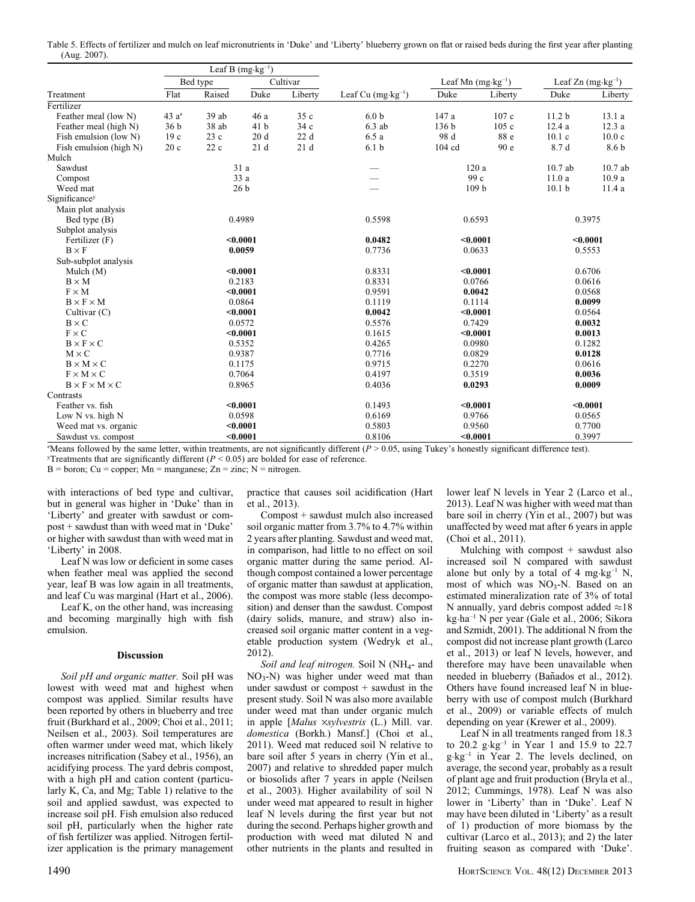Table 5. Effects of fertilizer and mulch on leaf micronutrients in 'Duke' and 'Liberty' blueberry grown on flat or raised beds during the first year after planting (Aug. 2007).

|                                |                 |          | Leaf B $(mg \cdot kg^{-1})$ |          |                              |                  |                              |                   |                                  |  |
|--------------------------------|-----------------|----------|-----------------------------|----------|------------------------------|------------------|------------------------------|-------------------|----------------------------------|--|
|                                |                 | Bed type |                             | Cultivar |                              |                  | Leaf Mn $(mg \cdot kg^{-1})$ |                   | Leaf $Zn$ (mg·kg <sup>-1</sup> ) |  |
| Treatment                      | Flat            | Raised   | Duke                        | Liberty  | Leaf Cu $(mg \cdot kg^{-1})$ | Duke             | Liberty                      | Duke              | Liberty                          |  |
| Fertilizer                     |                 |          |                             |          |                              |                  |                              |                   |                                  |  |
| Feather meal (low N)           | 43 $a^z$        | 39ab     | 46 a                        | 35 c     | 6.0 <sub>b</sub>             | 147 a            | 107c                         | 11.2 <sub>b</sub> | 13.1 a                           |  |
| Feather meal (high N)          | 36 <sub>b</sub> | 38 ab    | 41 b                        | 34c      | $6.3$ ab                     | 136 <sub>b</sub> | 105c                         | 12.4 a            | 12.3 a                           |  |
| Fish emulsion (low N)          | 19c             | 23 с     | 20d                         | 22d      | 6.5a                         | 98 d             | 88 e                         | 10.1c             | 10.0 <sub>c</sub>                |  |
| Fish emulsion (high N)         | 20c             | 22c      | 21d                         | 21d      | 6.1 <sub>b</sub>             | 104 cd           | 90 e                         | 8.7 d             | 8.6 b                            |  |
| Mulch                          |                 |          |                             |          |                              |                  |                              |                   |                                  |  |
| Sawdust                        |                 |          | 31 a                        |          |                              |                  | 120a                         | 10.7 ab           | 10.7ab                           |  |
| Compost                        |                 |          | 33a                         |          |                              |                  | 99 c                         | 11.0a             | 10.9a                            |  |
| Weed mat                       |                 |          | 26 <sub>b</sub>             |          |                              |                  | 109 <sub>b</sub>             | 10.1 <sub>b</sub> | 11.4 a                           |  |
| Significancey                  |                 |          |                             |          |                              |                  |                              |                   |                                  |  |
| Main plot analysis             |                 |          |                             |          |                              |                  |                              |                   |                                  |  |
| Bed type (B)                   | 0.4989          |          |                             | 0.5598   |                              | 0.6593           |                              | 0.3975            |                                  |  |
| Subplot analysis               |                 |          |                             |          |                              |                  |                              |                   |                                  |  |
| Fertilizer (F)                 |                 |          | < 0.0001                    |          | 0.0482                       |                  | < 0.0001                     |                   | $0.0001$                         |  |
| $B \times F$                   |                 |          | 0.0059                      |          | 0.7736                       |                  | 0.0633                       |                   | 0.5553                           |  |
| Sub-subplot analysis           |                 |          |                             |          |                              |                  |                              |                   |                                  |  |
| Mulch $(M)$                    |                 |          | $0.0001$                    |          | 0.8331                       | $0.0001$         |                              |                   | 0.6706                           |  |
| $B \times M$                   |                 |          | 0.2183                      |          | 0.8331                       |                  | 0.0766                       |                   | 0.0616                           |  |
| $F \times M$                   |                 |          | $0.0001$                    |          | 0.9591                       |                  | 0.0042                       | 0.0568            |                                  |  |
| $B \times F \times M$          |                 |          | 0.0864                      |          | 0.1119                       |                  | 0.1114                       | 0.0099            |                                  |  |
| Cultivar $(C)$                 |                 |          | $0.0001$                    |          | 0.0042                       |                  | < 0.0001                     | 0.0564            |                                  |  |
| $B \times C$                   |                 |          | 0.0572                      |          | 0.5576                       |                  | 0.7429                       |                   | 0.0032                           |  |
| $F \times C$                   |                 |          | < 0.0001                    |          | 0.1615                       |                  | < 0.0001                     |                   | 0.0013                           |  |
| $B \times F \times C$          |                 |          | 0.5352                      |          | 0.4265                       |                  | 0.0980                       |                   | 0.1282                           |  |
| $M \times C$                   |                 |          | 0.9387                      |          | 0.7716                       |                  | 0.0829                       |                   | 0.0128                           |  |
| $B \times M \times C$          |                 |          | 0.1175                      |          | 0.9715                       |                  | 0.2270                       |                   | 0.0616                           |  |
| $F \times M \times C$          |                 |          | 0.7064                      |          | 0.4197                       |                  | 0.3519                       |                   | 0.0036                           |  |
| $B \times F \times M \times C$ |                 |          | 0.8965                      |          | 0.4036                       |                  | 0.0293                       |                   | 0.0009                           |  |
| Contrasts                      |                 |          |                             |          |                              |                  |                              |                   |                                  |  |
| Feather vs. fish               |                 |          | $0.0001$                    |          | 0.1493                       |                  | < 0.0001                     |                   | $0.0001$                         |  |
| Low N vs. high N               |                 |          | 0.0598                      |          | 0.6169                       |                  | 0.9766                       |                   | 0.0565                           |  |
| Weed mat vs. organic           |                 |          | $0.0001$                    |          | 0.5803                       |                  | 0.9560                       | 0.7700            |                                  |  |
| Sawdust vs. compost            |                 |          | $0.0001$                    |          | 0.8106                       |                  | $0.0001$                     |                   | 0.3997                           |  |

"Means followed by the same letter, within treatments, are not significantly different  $(P > 0.05$ , using Tukey's honestly significant difference test).

Treatments that are significantly different ( $P < 0.05$ ) are bolded for ease of reference.

 $B = boron$ ;  $Cu = copper$ ;  $Mn = manganese$ ;  $Zn = zinc$ ;  $N = nitrogen$ .

with interactions of bed type and cultivar, but in general was higher in 'Duke' than in 'Liberty' and greater with sawdust or compost + sawdust than with weed mat in 'Duke' or higher with sawdust than with weed mat in 'Liberty' in 2008.

Leaf N was low or deficient in some cases when feather meal was applied the second year, leaf B was low again in all treatments, and leaf Cu was marginal (Hart et al., 2006).

Leaf K, on the other hand, was increasing and becoming marginally high with fish emulsion.

#### Discussion

Soil pH and organic matter. Soil pH was lowest with weed mat and highest when compost was applied. Similar results have been reported by others in blueberry and tree fruit (Burkhard et al., 2009; Choi et al., 2011; Neilsen et al., 2003). Soil temperatures are often warmer under weed mat, which likely increases nitrification (Sabey et al., 1956), an acidifying process. The yard debris compost, with a high pH and cation content (particularly K, Ca, and Mg; Table 1) relative to the soil and applied sawdust, was expected to increase soil pH. Fish emulsion also reduced soil pH, particularly when the higher rate of fish fertilizer was applied. Nitrogen fertilizer application is the primary management practice that causes soil acidification (Hart et al., 2013).

Compost + sawdust mulch also increased soil organic matter from 3.7% to 4.7% within 2 years after planting. Sawdust and weed mat, in comparison, had little to no effect on soil organic matter during the same period. Although compost contained a lower percentage of organic matter than sawdust at application, the compost was more stable (less decomposition) and denser than the sawdust. Compost (dairy solids, manure, and straw) also increased soil organic matter content in a vegetable production system (Wedryk et al., 2012).

Soil and leaf nitrogen. Soil N (NH<sub>4</sub>- and  $NO<sub>3</sub>-N$ ) was higher under weed mat than under sawdust or compost + sawdust in the present study. Soil N was also more available under weed mat than under organic mulch in apple [Malus ×sylvestris (L.) Mill. var. domestica (Borkh.) Mansf.] (Choi et al., 2011). Weed mat reduced soil N relative to bare soil after 5 years in cherry (Yin et al., 2007) and relative to shredded paper mulch or biosolids after 7 years in apple (Neilsen et al., 2003). Higher availability of soil N under weed mat appeared to result in higher leaf N levels during the first year but not during the second. Perhaps higher growth and production with weed mat diluted N and other nutrients in the plants and resulted in

lower leaf N levels in Year 2 (Larco et al., 2013). Leaf N was higher with weed mat than bare soil in cherry (Yin et al., 2007) but was unaffected by weed mat after 6 years in apple (Choi et al., 2011).

Mulching with compost + sawdust also increased soil N compared with sawdust alone but only by a total of 4 mg $\text{kg}^{-1}$  N, most of which was NO<sub>3</sub>-N. Based on an estimated mineralization rate of 3% of total N annually, yard debris compost added  $\approx$  18 kg·ha–1 N per year (Gale et al., 2006; Sikora and Szmidt, 2001). The additional N from the compost did not increase plant growth (Larco et al., 2013) or leaf N levels, however, and therefore may have been unavailable when needed in blueberry (Bañados et al., 2012). Others have found increased leaf N in blueberry with use of compost mulch (Burkhard et al., 2009) or variable effects of mulch depending on year (Krewer et al., 2009).

Leaf N in all treatments ranged from 18.3 to 20.2 g·kg–1 in Year 1 and 15.9 to 22.7 g·kg–1 in Year 2. The levels declined, on average, the second year, probably as a result of plant age and fruit production (Bryla et al., 2012; Cummings, 1978). Leaf N was also lower in 'Liberty' than in 'Duke'. Leaf N may have been diluted in 'Liberty' as a result of 1) production of more biomass by the cultivar (Larco et al., 2013); and 2) the later fruiting season as compared with 'Duke'.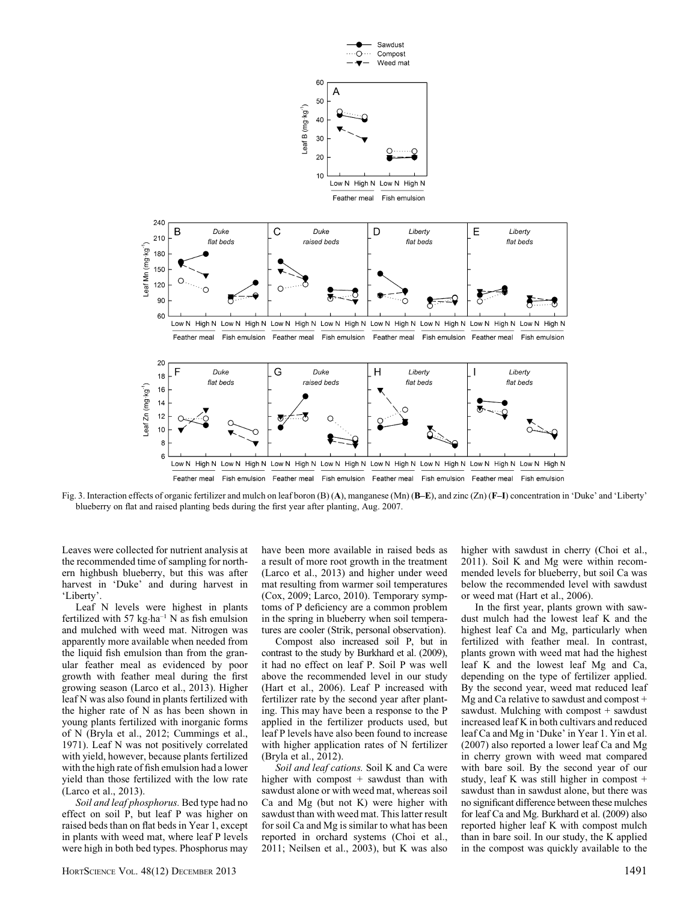

Fig. 3. Interaction effects of organic fertilizer and mulch on leaf boron (B) (A), manganese (Mn) (B–E), and zinc (Zn) (F–I) concentration in 'Duke' and 'Liberty' blueberry on flat and raised planting beds during the first year after planting, Aug. 2007.

Leaves were collected for nutrient analysis at the recommended time of sampling for northern highbush blueberry, but this was after harvest in 'Duke' and during harvest in 'Liberty'.

Leaf N levels were highest in plants fertilized with 57 kg $\cdot$ ha<sup>-1</sup> N as fish emulsion and mulched with weed mat. Nitrogen was apparently more available when needed from the liquid fish emulsion than from the granular feather meal as evidenced by poor growth with feather meal during the first growing season (Larco et al., 2013). Higher leaf N was also found in plants fertilized with the higher rate of N as has been shown in young plants fertilized with inorganic forms of N (Bryla et al., 2012; Cummings et al., 1971). Leaf N was not positively correlated with yield, however, because plants fertilized with the high rate of fish emulsion had a lower yield than those fertilized with the low rate (Larco et al., 2013).

Soil and leaf phosphorus. Bed type had no effect on soil P, but leaf P was higher on raised beds than on flat beds in Year 1, except in plants with weed mat, where leaf P levels were high in both bed types. Phosphorus may

have been more available in raised beds as a result of more root growth in the treatment (Larco et al., 2013) and higher under weed mat resulting from warmer soil temperatures (Cox, 2009; Larco, 2010). Temporary symptoms of P deficiency are a common problem in the spring in blueberry when soil temperatures are cooler (Strik, personal observation).

Compost also increased soil P, but in contrast to the study by Burkhard et al. (2009), it had no effect on leaf P. Soil P was well above the recommended level in our study (Hart et al., 2006). Leaf P increased with fertilizer rate by the second year after planting. This may have been a response to the P applied in the fertilizer products used, but leaf P levels have also been found to increase with higher application rates of N fertilizer (Bryla et al., 2012).

Soil and leaf cations. Soil K and Ca were higher with compost + sawdust than with sawdust alone or with weed mat, whereas soil Ca and Mg (but not K) were higher with sawdust than with weed mat. This latter result for soil Ca and Mg is similar to what has been reported in orchard systems (Choi et al., 2011; Neilsen et al., 2003), but K was also higher with sawdust in cherry (Choi et al., 2011). Soil K and Mg were within recommended levels for blueberry, but soil Ca was below the recommended level with sawdust or weed mat (Hart et al., 2006).

In the first year, plants grown with sawdust mulch had the lowest leaf K and the highest leaf Ca and Mg, particularly when fertilized with feather meal. In contrast, plants grown with weed mat had the highest leaf K and the lowest leaf Mg and Ca, depending on the type of fertilizer applied. By the second year, weed mat reduced leaf Mg and Ca relative to sawdust and compost + sawdust. Mulching with compost + sawdust increased leaf K in both cultivars and reduced leaf Ca and Mg in 'Duke' in Year 1. Yin et al. (2007) also reported a lower leaf Ca and Mg in cherry grown with weed mat compared with bare soil. By the second year of our study, leaf K was still higher in compost + sawdust than in sawdust alone, but there was no significant difference between these mulches for leaf Ca and Mg. Burkhard et al. (2009) also reported higher leaf K with compost mulch than in bare soil. In our study, the K applied in the compost was quickly available to the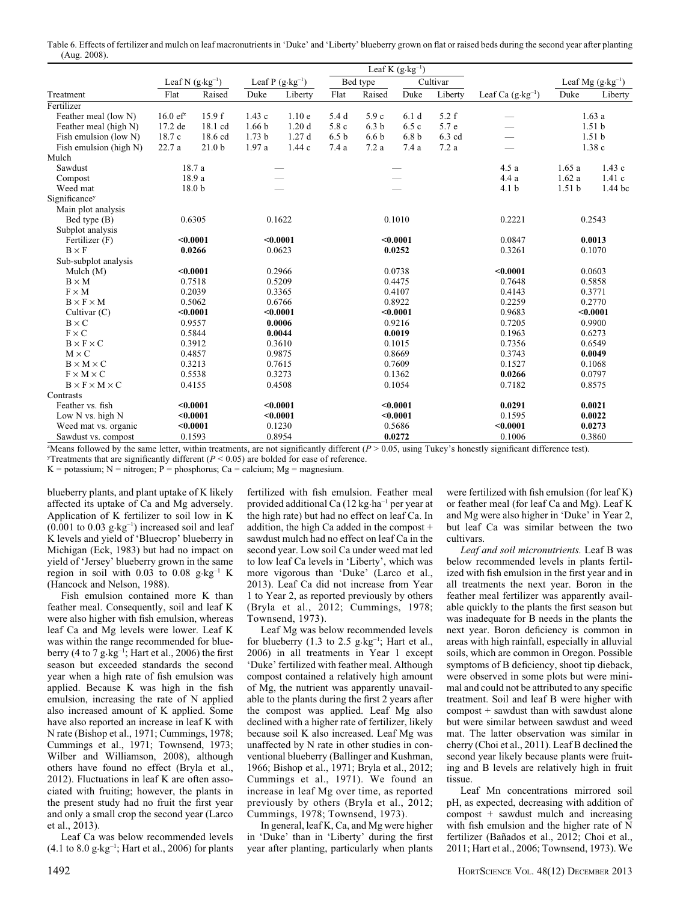Table 6. Effects of fertilizer and mulch on leaf macronutrients in 'Duke' and 'Liberty' blueberry grown on flat or raised beds during the second year after planting (Aug. 2008).

|                                        |                            |                              |                   | Leaf K $(g \cdot kg^{-1})$ |                  |                        |                                     |                      |                                                                  |                   |                             |  |
|----------------------------------------|----------------------------|------------------------------|-------------------|----------------------------|------------------|------------------------|-------------------------------------|----------------------|------------------------------------------------------------------|-------------------|-----------------------------|--|
|                                        | Leaf N $(g \cdot kg^{-1})$ |                              |                   | Leaf P $(g \cdot kg^{-1})$ |                  | Bed type               |                                     | Cultivar             |                                                                  |                   | Leaf Mg $(g \cdot kg^{-1})$ |  |
| Treatment                              | Flat                       | Raised                       | Duke              | Liberty                    | Flat             | Raised                 | Duke                                | Liberty              | Leaf Ca $(g \cdot kg^{-1})$                                      | Duke              | Liberty                     |  |
| Fertilizer                             |                            |                              |                   |                            |                  |                        |                                     |                      |                                                                  |                   |                             |  |
| Feather meal (low N)                   | $16.0 e f^2$               | 15.9 f                       | 1.43c             | 1.10e                      | 5.4 d            | 5.9 c                  | 6.1d                                | 5.2 f                |                                                                  |                   | 1.63a                       |  |
| Feather meal (high N)                  | 17.2 de                    | $18.1 \text{ cd}$            | 1.66 <sub>b</sub> | 1.20d                      | 5.8 c            | 6.3 <sub>b</sub>       | 6.5c                                | 5.7 e                |                                                                  |                   | 1.51 <sub>b</sub>           |  |
| Fish emulsion (low N)                  | 18.7 c                     | 18.6 cd                      | 1.73 <sub>b</sub> | 1.27d                      | 6.5 <sub>b</sub> | 6.6 <sub>b</sub>       | 6.8 <sub>b</sub>                    | 6.3 cd               |                                                                  |                   | 1.51 <sub>b</sub>           |  |
| Fish emulsion (high N)                 | 22.7 a                     | 21.0 <sub>b</sub>            | 1.97 a            | 1.44c                      | 7.4 a            | 7.2a                   | 7.4a                                | 7.2a                 |                                                                  |                   | 1.38c                       |  |
| Mulch                                  |                            |                              |                   |                            |                  |                        |                                     |                      |                                                                  |                   |                             |  |
| Sawdust                                |                            | 18.7 a                       |                   |                            |                  |                        |                                     |                      | 4.5a                                                             | 1.65a             | 1.43c                       |  |
| Compost                                |                            | 18.9 a                       |                   |                            |                  |                        |                                     |                      | 4.4 a                                                            | 1.62a             | 1.41c                       |  |
| Weed mat                               |                            | 18.0 <sub>b</sub>            |                   |                            |                  |                        |                                     |                      | 4.1 <sub>b</sub>                                                 | 1.51 <sub>b</sub> | 1.44 bc                     |  |
| Significancey                          |                            |                              |                   |                            |                  |                        |                                     |                      |                                                                  |                   |                             |  |
| Main plot analysis                     |                            |                              |                   |                            |                  |                        |                                     |                      |                                                                  |                   |                             |  |
| Bed type (B)                           | 0.6305<br>0.1622           |                              |                   |                            |                  | 0.1010                 |                                     | 0.2221               |                                                                  | 0.2543            |                             |  |
| Subplot analysis                       |                            |                              |                   |                            |                  |                        |                                     |                      |                                                                  |                   |                             |  |
| Fertilizer (F)                         |                            | < 0.0001                     |                   | < 0.0001                   |                  |                        | < 0.0001                            |                      | 0.0847                                                           |                   | 0.0013                      |  |
| $B \times F$                           | 0.0266                     |                              |                   | 0.0623                     |                  |                        | 0.0252                              |                      | 0.3261                                                           |                   | 0.1070                      |  |
| Sub-subplot analysis                   |                            |                              |                   |                            |                  |                        |                                     |                      |                                                                  |                   |                             |  |
| Mulch $(M)$                            |                            | $0.0001$                     |                   | 0.2966                     |                  |                        | 0.0738                              |                      | < 0.0001                                                         |                   | 0.0603                      |  |
| $B \times M$                           | 0.7518                     |                              |                   | 0.5209                     |                  |                        | 0.4475                              |                      | 0.7648                                                           |                   | 0.5858                      |  |
| $F \times M$                           |                            | 0.2039                       |                   | 0.3365                     |                  |                        | 0.4107                              |                      | 0.4143                                                           |                   | 0.3771                      |  |
| $B \times F \times M$                  |                            | 0.5062                       |                   | 0.6766                     |                  |                        | 0.8922                              |                      | 0.2259                                                           |                   | 0.2770                      |  |
| Cultivar (C)                           |                            | $0.0001$                     |                   | $0.0001$                   |                  |                        | < 0.0001                            |                      | 0.9683                                                           |                   | < 0.0001                    |  |
| $B \times C$                           |                            | 0.9557                       |                   | 0.0006                     |                  |                        | 0.9216                              |                      | 0.7205                                                           |                   | 0.9900                      |  |
| $F \times C$                           |                            | 0.5844                       |                   | 0.0044                     |                  |                        | 0.0019                              |                      | 0.1963                                                           |                   | 0.6273                      |  |
| $B \times F \times C$                  |                            | 0.3912                       |                   | 0.3610                     |                  |                        | 0.1015                              |                      | 0.7356                                                           |                   | 0.6549                      |  |
| $M \times C$                           |                            | 0.4857                       |                   | 0.9875                     |                  |                        | 0.8669                              |                      | 0.3743                                                           |                   | 0.0049                      |  |
| $B \times M \times C$                  |                            | 0.3213                       |                   | 0.7615                     |                  |                        | 0.7609                              |                      | 0.1527                                                           |                   | 0.1068                      |  |
| $F \times M \times C$                  |                            | 0.5538                       |                   | 0.3273                     |                  |                        | 0.1362                              |                      | 0.0266                                                           |                   | 0.0797                      |  |
| $B \times F \times M \times C$         |                            | 0.4155                       |                   | 0.4508                     |                  |                        | 0.1054                              |                      | 0.7182                                                           |                   | 0.8575                      |  |
| Contrasts                              |                            |                              |                   |                            |                  |                        |                                     |                      |                                                                  |                   |                             |  |
| Feather vs. fish                       |                            | $0.0001$                     |                   | < 0.0001                   |                  |                        | < 0.0001                            |                      | 0.0291                                                           |                   | 0.0021                      |  |
| Low N vs. high N                       |                            | $0.0001$                     |                   | $0.0001$                   |                  | < 0.0001               |                                     |                      | 0.1595                                                           |                   | 0.0022                      |  |
| Weed mat vs. organic                   |                            | $0.0001$                     |                   | 0.1230                     |                  | 0.5686                 |                                     |                      | $0.0001$                                                         | 0.0273            |                             |  |
| Sawdust vs. compost<br>$0.11 - 11 - 1$ | $1 - 1$                    | 0.1593<br><b>State State</b> |                   | 0.8954<br>$\cdots$         | $1.1 - 11.00$    | $\sqrt{n}$ $\sim$ 0.00 | 0.0272<br>$\cdot$ $\ldots$ $\ldots$ | $\ddot{\phantom{1}}$ | 0.1006<br>$\mathbf{a}$ $\mathbf{b}$ $\mathbf{c}$<br>$\cdot$ 1:00 |                   | 0.3860                      |  |

"Means followed by the same letter, within treatments, are not significantly different  $(P > 0.05$ , using Tukey's honestly significant difference test).

Treatments that are significantly different ( $P < 0.05$ ) are bolded for ease of reference.

K = potassium; N = nitrogen; P = phosphorus; Ca = calcium; Mg = magnesium.

blueberry plants, and plant uptake of K likely affected its uptake of Ca and Mg adversely. Application of K fertilizer to soil low in K  $(0.001$  to  $0.03$   $g \cdot kg^{-1}$ ) increased soil and leaf K levels and yield of 'Bluecrop' blueberry in Michigan (Eck, 1983) but had no impact on yield of 'Jersey' blueberry grown in the same region in soil with  $0.03$  to  $0.08$  g $\text{kg}^{-1}$  K (Hancock and Nelson, 1988).

Fish emulsion contained more K than feather meal. Consequently, soil and leaf K were also higher with fish emulsion, whereas leaf Ca and Mg levels were lower. Leaf K was within the range recommended for blueberry (4 to 7 g $\text{kg}^{-1}$ ; Hart et al., 2006) the first season but exceeded standards the second year when a high rate of fish emulsion was applied. Because K was high in the fish emulsion, increasing the rate of N applied also increased amount of K applied. Some have also reported an increase in leaf K with N rate (Bishop et al., 1971; Cummings, 1978; Cummings et al., 1971; Townsend, 1973; Wilber and Williamson, 2008), although others have found no effect (Bryla et al., 2012). Fluctuations in leaf K are often associated with fruiting; however, the plants in the present study had no fruit the first year and only a small crop the second year (Larco et al., 2013).

Leaf Ca was below recommended levels  $(4.1 \text{ to } 8.0 \text{ g} \cdot \text{kg}^{-1})$ ; Hart et al., 2006) for plants

fertilized with fish emulsion. Feather meal provided additional Ca  $(12 \text{ kg} \cdot \text{ha}^{-1})$  per year at the high rate) but had no effect on leaf Ca. In addition, the high Ca added in the compost + sawdust mulch had no effect on leaf Ca in the second year. Low soil Ca under weed mat led to low leaf Ca levels in 'Liberty', which was more vigorous than 'Duke' (Larco et al., 2013). Leaf Ca did not increase from Year 1 to Year 2, as reported previously by others (Bryla et al., 2012; Cummings, 1978; Townsend, 1973).

Leaf Mg was below recommended levels for blueberry  $(1.3 \text{ to } 2.5 \text{ g} \cdot \text{kg}^{-1})$ ; Hart et al., 2006) in all treatments in Year 1 except 'Duke' fertilized with feather meal. Although compost contained a relatively high amount of Mg, the nutrient was apparently unavailable to the plants during the first 2 years after the compost was applied. Leaf Mg also declined with a higher rate of fertilizer, likely because soil K also increased. Leaf Mg was unaffected by N rate in other studies in conventional blueberry (Ballinger and Kushman, 1966; Bishop et al., 1971; Bryla et al., 2012; Cummings et al., 1971). We found an increase in leaf Mg over time, as reported previously by others (Bryla et al., 2012; Cummings, 1978; Townsend, 1973).

In general, leaf K, Ca, and Mg were higher in 'Duke' than in 'Liberty' during the first year after planting, particularly when plants

were fertilized with fish emulsion (for leaf K) or feather meal (for leaf Ca and Mg). Leaf K and Mg were also higher in 'Duke' in Year 2, but leaf Ca was similar between the two cultivars.

Leaf and soil micronutrients. Leaf B was below recommended levels in plants fertilized with fish emulsion in the first year and in all treatments the next year. Boron in the feather meal fertilizer was apparently available quickly to the plants the first season but was inadequate for B needs in the plants the next year. Boron deficiency is common in areas with high rainfall, especially in alluvial soils, which are common in Oregon. Possible symptoms of B deficiency, shoot tip dieback, were observed in some plots but were minimal and could not be attributed to any specific treatment. Soil and leaf B were higher with compost + sawdust than with sawdust alone but were similar between sawdust and weed mat. The latter observation was similar in cherry (Choi et al., 2011). Leaf B declined the second year likely because plants were fruiting and B levels are relatively high in fruit tissue.

Leaf Mn concentrations mirrored soil pH, as expected, decreasing with addition of compost + sawdust mulch and increasing with fish emulsion and the higher rate of N fertilizer (Bañados et al., 2012; Choi et al., 2011; Hart et al., 2006; Townsend, 1973). We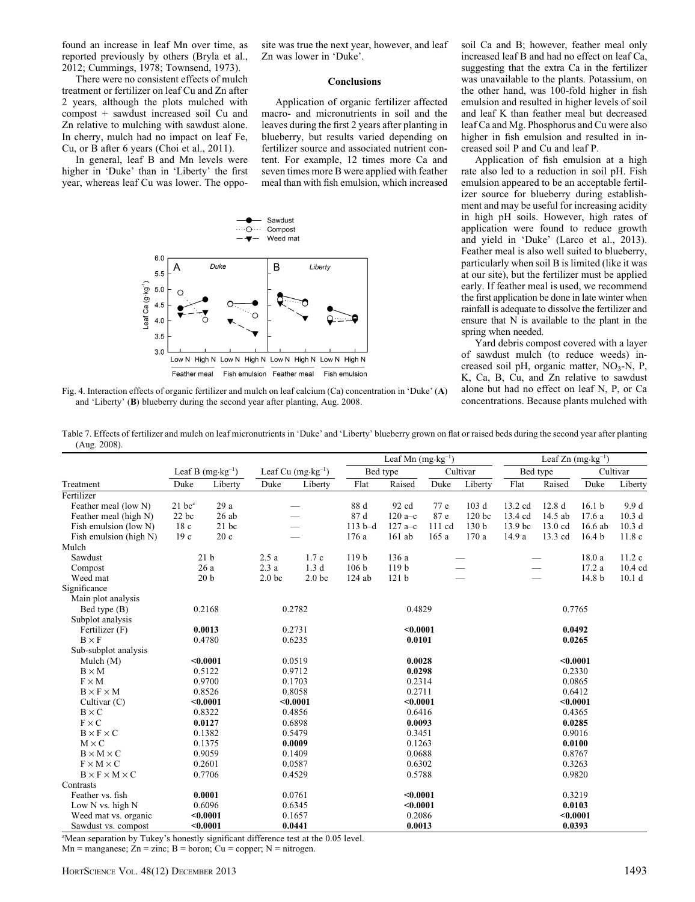found an increase in leaf Mn over time, as reported previously by others (Bryla et al., 2012; Cummings, 1978; Townsend, 1973).

There were no consistent effects of mulch treatment or fertilizer on leaf Cu and Zn after 2 years, although the plots mulched with compost + sawdust increased soil Cu and Zn relative to mulching with sawdust alone. In cherry, mulch had no impact on leaf Fe, Cu, or B after 6 years (Choi et al., 2011).

In general, leaf B and Mn levels were higher in 'Duke' than in 'Liberty' the first year, whereas leaf Cu was lower. The opposite was true the next year, however, and leaf Zn was lower in 'Duke'.

### Conclusions

Application of organic fertilizer affected macro- and micronutrients in soil and the leaves during the first 2 years after planting in blueberry, but results varied depending on fertilizer source and associated nutrient content. For example, 12 times more Ca and seven times more B were applied with feather meal than with fish emulsion, which increased



Fig. 4. Interaction effects of organic fertilizer and mulch on leaf calcium (Ca) concentration in 'Duke' (A) and 'Liberty' (B) blueberry during the second year after planting, Aug. 2008.

soil Ca and B; however, feather meal only increased leaf B and had no effect on leaf Ca, suggesting that the extra Ca in the fertilizer was unavailable to the plants. Potassium, on the other hand, was 100-fold higher in fish emulsion and resulted in higher levels of soil and leaf K than feather meal but decreased leaf Ca and Mg. Phosphorus and Cu were also higher in fish emulsion and resulted in increased soil P and Cu and leaf P.

Application of fish emulsion at a high rate also led to a reduction in soil pH. Fish emulsion appeared to be an acceptable fertilizer source for blueberry during establishment and may be useful for increasing acidity in high pH soils. However, high rates of application were found to reduce growth and yield in 'Duke' (Larco et al., 2013). Feather meal is also well suited to blueberry, particularly when soil B is limited (like it was at our site), but the fertilizer must be applied early. If feather meal is used, we recommend the first application be done in late winter when rainfall is adequate to dissolve the fertilizer and ensure that N is available to the plant in the spring when needed.

Yard debris compost covered with a layer of sawdust mulch (to reduce weeds) increased soil pH, organic matter,  $NO<sub>3</sub>-N$ , P, K, Ca, B, Cu, and Zn relative to sawdust alone but had no effect on leaf N, P, or Ca concentrations. Because plants mulched with

Table 7. Effects of fertilizer and mulch on leaf micronutrients in 'Duke' and 'Liberty' blueberry grown on flat or raised beds during the second year after planting (Aug. 2008).

|                                                                                                                                                                                                                                                                                                                           |                      |                             |                   |                              |                  | Leaf Mn $(mg \cdot kg^{-1})$ |        |                  |                    |          | Leaf $Zn$ (mg $\cdot$ kg <sup>-1</sup> ) |                   |  |
|---------------------------------------------------------------------------------------------------------------------------------------------------------------------------------------------------------------------------------------------------------------------------------------------------------------------------|----------------------|-----------------------------|-------------------|------------------------------|------------------|------------------------------|--------|------------------|--------------------|----------|------------------------------------------|-------------------|--|
|                                                                                                                                                                                                                                                                                                                           |                      | Leaf B $(mg \cdot kg^{-1})$ |                   | Leaf Cu $(mg \cdot kg^{-1})$ |                  | Bed type                     |        | Cultivar         |                    | Bed type |                                          | Cultivar          |  |
| Treatment                                                                                                                                                                                                                                                                                                                 | Duke                 | Liberty                     | Duke              | Liberty                      | Flat             | Raised                       | Duke   | Liberty          | Flat               | Raised   | Duke                                     | Liberty           |  |
| Fertilizer                                                                                                                                                                                                                                                                                                                |                      |                             |                   |                              |                  |                              |        |                  |                    |          |                                          |                   |  |
| Feather meal (low N)                                                                                                                                                                                                                                                                                                      | $21$ bc <sup>z</sup> | 29 a                        |                   |                              | 88 d             | 92 cd                        | 77 e   | 103 d            | 13.2 cd            | 12.8d    | 16.1 <sub>b</sub>                        | 9.9d              |  |
| Feather meal (high N)                                                                                                                                                                                                                                                                                                     | $22$ bc              | 26ab                        |                   |                              | 87 d             | 120 $a-c$                    | 87 e   | 120 bc           | 13.4 cd            | 14.5 ab  | 17.6a                                    | 10.3 <sub>d</sub> |  |
| Fish emulsion (low N)                                                                                                                                                                                                                                                                                                     | 18c                  | $21$ bc                     |                   |                              | $113 b-d$        | $127a - c$                   | 111 cd | 130 <sub>b</sub> | 13.9 <sub>bc</sub> | 13.0 cd  | $16.6$ ab                                | 10.3 <sub>d</sub> |  |
| Fish emulsion (high N)                                                                                                                                                                                                                                                                                                    | 19c                  | 20c                         |                   |                              | 176 a            | $161$ ab                     | 165a   | 170a             | 14.9 a             | 13.3 cd  | 16.4 <sub>b</sub>                        | 11.8c             |  |
| Mulch                                                                                                                                                                                                                                                                                                                     |                      |                             |                   |                              |                  |                              |        |                  |                    |          |                                          |                   |  |
| Sawdust                                                                                                                                                                                                                                                                                                                   |                      | 21 <sub>b</sub>             | 2.5a              | 1.7c                         | 119 b            | 136 a                        |        |                  |                    |          | 18.0a                                    | 11.2c             |  |
| Compost                                                                                                                                                                                                                                                                                                                   |                      | 26 a                        | 2.3a              | 1.3 <sub>d</sub>             | 106 <sub>b</sub> | 119 b                        |        |                  |                    |          | 17.2 a                                   | $10.4 \text{ cd}$ |  |
| Weed mat                                                                                                                                                                                                                                                                                                                  |                      | 20 <sub>b</sub>             | 2.0 <sub>bc</sub> | 2.0 <sub>bc</sub>            |                  | 121 <sub>b</sub>             |        |                  |                    |          | 14.8 b                                   | 10.1 <sub>d</sub> |  |
| Significance                                                                                                                                                                                                                                                                                                              |                      |                             |                   |                              |                  |                              |        |                  |                    |          |                                          |                   |  |
| Main plot analysis                                                                                                                                                                                                                                                                                                        |                      |                             |                   |                              |                  |                              |        |                  |                    |          |                                          |                   |  |
| Bed type (B)                                                                                                                                                                                                                                                                                                              |                      | 0.2168                      | 0.2782            |                              |                  | 0.4829                       |        |                  |                    |          | 0.7765                                   |                   |  |
| Subplot analysis                                                                                                                                                                                                                                                                                                          |                      |                             |                   |                              |                  |                              |        |                  |                    |          |                                          |                   |  |
| Fertilizer (F)                                                                                                                                                                                                                                                                                                            |                      | 0.0013                      | 0.2731            |                              |                  | $0.0001$                     |        |                  | 0.0492             |          |                                          |                   |  |
| $B \times F$                                                                                                                                                                                                                                                                                                              |                      | 0.4780                      | 0.6235            |                              |                  | 0.0101                       |        |                  |                    | 0.0265   |                                          |                   |  |
| Sub-subplot analysis                                                                                                                                                                                                                                                                                                      |                      |                             |                   |                              |                  |                              |        |                  |                    |          |                                          |                   |  |
| Mulch $(M)$                                                                                                                                                                                                                                                                                                               |                      | $0.0001$                    |                   | 0.0519                       |                  | 0.0028                       |        |                  | < 0.0001           |          |                                          |                   |  |
| $B \times M$                                                                                                                                                                                                                                                                                                              |                      | 0.5122                      |                   | 0.9712                       |                  | 0.0298                       |        |                  | 0.2330             |          |                                          |                   |  |
| $F \times M$                                                                                                                                                                                                                                                                                                              |                      | 0.9700                      |                   | 0.1703                       |                  | 0.2314                       |        |                  | 0.0865             |          |                                          |                   |  |
| $B \times F \times M$                                                                                                                                                                                                                                                                                                     |                      | 0.8526                      |                   | 0.8058                       |                  | 0.2711                       |        |                  | 0.6412             |          |                                          |                   |  |
| Cultivar (C)                                                                                                                                                                                                                                                                                                              |                      | $0.0001$                    |                   | < 0.0001                     |                  | < 0.0001                     |        |                  |                    |          | < 0.0001                                 |                   |  |
| $B \times C$                                                                                                                                                                                                                                                                                                              |                      | 0.8322                      |                   | 0.4856                       |                  | 0.6416                       |        |                  |                    |          | 0.4365                                   |                   |  |
| $F \times C$                                                                                                                                                                                                                                                                                                              |                      | 0.0127                      |                   | 0.6898                       |                  | 0.0093                       |        |                  |                    |          | 0.0285                                   |                   |  |
| $B \times F \times C$                                                                                                                                                                                                                                                                                                     |                      | 0.1382                      |                   | 0.5479                       |                  | 0.3451                       |        |                  |                    |          | 0.9016                                   |                   |  |
| $M \times C$                                                                                                                                                                                                                                                                                                              |                      | 0.1375                      |                   | 0.0009                       |                  | 0.1263                       |        |                  |                    |          | 0.0100                                   |                   |  |
| $B \times M \times C$                                                                                                                                                                                                                                                                                                     |                      | 0.9059                      |                   | 0.1409                       |                  | 0.0688                       |        |                  |                    |          | 0.8767                                   |                   |  |
| $F \times M \times C$                                                                                                                                                                                                                                                                                                     |                      | 0.2601                      |                   | 0.0587                       |                  | 0.6302                       |        |                  |                    |          | 0.3263                                   |                   |  |
| $B \times F \times M \times C$                                                                                                                                                                                                                                                                                            |                      | 0.7706                      |                   | 0.4529                       |                  | 0.5788                       |        |                  |                    |          | 0.9820                                   |                   |  |
| Contrasts                                                                                                                                                                                                                                                                                                                 |                      |                             |                   |                              |                  |                              |        |                  |                    |          |                                          |                   |  |
| Feather vs. fish                                                                                                                                                                                                                                                                                                          |                      | 0.0001                      |                   | 0.0761                       |                  | $0.0001$                     |        |                  |                    |          | 0.3219                                   |                   |  |
| Low N vs. high N                                                                                                                                                                                                                                                                                                          |                      | 0.6096                      |                   | 0.6345                       |                  | $0.0001$                     |        |                  |                    |          | 0.0103                                   |                   |  |
| Weed mat vs. organic                                                                                                                                                                                                                                                                                                      |                      | < 0.0001                    |                   | 0.1657                       |                  | 0.2086                       |        |                  |                    |          | $0.0001$                                 |                   |  |
| Sawdust vs. compost                                                                                                                                                                                                                                                                                                       |                      | $0.0001$                    |                   | 0.0441                       |                  | 0.0013                       |        |                  | 0.0393             |          |                                          |                   |  |
| $\mathcal{L}$ and $\mathcal{L}$ and $\mathcal{L}$ and $\mathcal{L}$ and $\mathcal{L}$ and $\mathcal{L}$ and $\mathcal{L}$ and $\mathcal{L}$ and $\mathcal{L}$ and $\mathcal{L}$ and $\mathcal{L}$ and $\mathcal{L}$ and $\mathcal{L}$ and $\mathcal{L}$ and $\mathcal{L}$ and $\mathcal{L}$ and $\mathcal{L}$ and<br>73.5 |                      |                             |                   | $1.10071$ 1                  |                  |                              |        |                  |                    |          |                                          |                   |  |

z Mean separation by Tukey's honestly significant difference test at the 0.05 level.

 $Mn =$  manganese;  $Zn =$  zinc;  $B =$  boron;  $Cu =$  copper;  $N =$  nitrogen.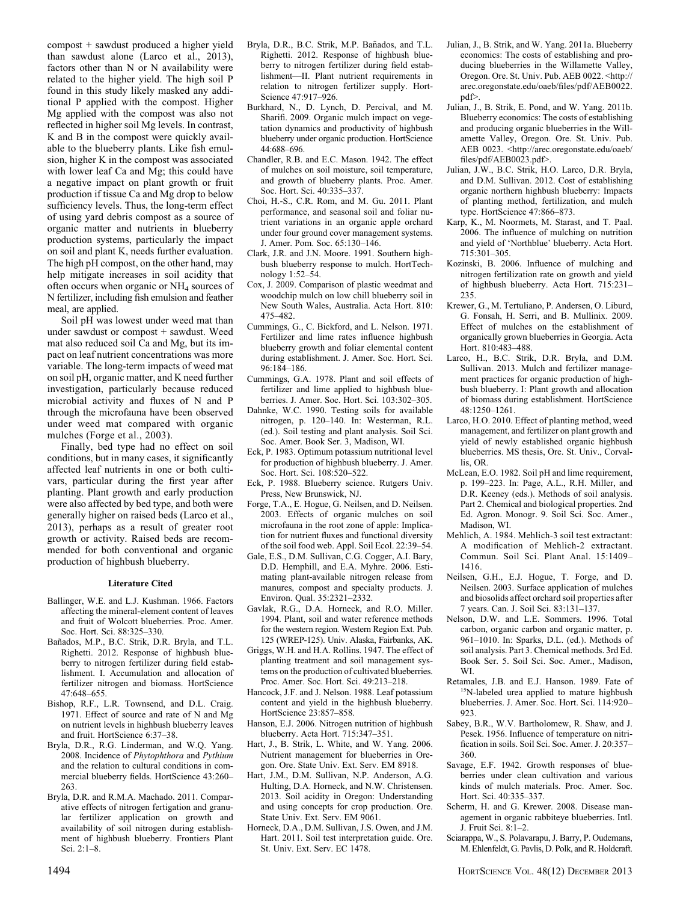compost + sawdust produced a higher yield than sawdust alone (Larco et al., 2013), factors other than N or N availability were related to the higher yield. The high soil P found in this study likely masked any additional P applied with the compost. Higher Mg applied with the compost was also not reflected in higher soil Mg levels. In contrast, K and B in the compost were quickly available to the blueberry plants. Like fish emulsion, higher K in the compost was associated with lower leaf Ca and Mg; this could have a negative impact on plant growth or fruit production if tissue Ca and Mg drop to below sufficiency levels. Thus, the long-term effect of using yard debris compost as a source of organic matter and nutrients in blueberry production systems, particularly the impact on soil and plant K, needs further evaluation. The high pH compost, on the other hand, may help mitigate increases in soil acidity that often occurs when organic or NH4 sources of N fertilizer, including fish emulsion and feather meal, are applied.

Soil pH was lowest under weed mat than under sawdust or compost + sawdust. Weed mat also reduced soil Ca and Mg, but its impact on leaf nutrient concentrations was more variable. The long-term impacts of weed mat on soil pH, organic matter, and K need further investigation, particularly because reduced microbial activity and fluxes of N and P through the microfauna have been observed under weed mat compared with organic mulches (Forge et al., 2003).

Finally, bed type had no effect on soil conditions, but in many cases, it significantly affected leaf nutrients in one or both cultivars, particular during the first year after planting. Plant growth and early production were also affected by bed type, and both were generally higher on raised beds (Larco et al., 2013), perhaps as a result of greater root growth or activity. Raised beds are recommended for both conventional and organic production of highbush blueberry.

#### Literature Cited

- Ballinger, W.E. and L.J. Kushman. 1966. Factors affecting the mineral-element content of leaves and fruit of Wolcott blueberries. Proc. Amer. Soc. Hort. Sci. 88:325–330.
- Bañados, M.P., B.C. Strik, D.R. Bryla, and T.L. Righetti. 2012. Response of highbush blueberry to nitrogen fertilizer during field establishment. I. Accumulation and allocation of fertilizer nitrogen and biomass. HortScience 47:648–655.
- Bishop, R.F., L.R. Townsend, and D.L. Craig. 1971. Effect of source and rate of N and Mg on nutrient levels in highbush blueberry leaves and fruit. HortScience 6:37–38.
- Bryla, D.R., R.G. Linderman, and W.Q. Yang. 2008. Incidence of Phytophthora and Pythium and the relation to cultural conditions in commercial blueberry fields. HortScience 43:260– 263.
- Bryla, D.R. and R.M.A. Machado. 2011. Comparative effects of nitrogen fertigation and granular fertilizer application on growth and availability of soil nitrogen during establishment of highbush blueberry. Frontiers Plant Sci. 2:1–8.
- Bryla, D.R., B.C. Strik, M.P. Bañados, and T.L. Righetti. 2012. Response of highbush blueberry to nitrogen fertilizer during field establishment—II. Plant nutrient requirements in relation to nitrogen fertilizer supply. Hort-Science 47:917–926.
- Burkhard, N., D. Lynch, D. Percival, and M. Sharifi. 2009. Organic mulch impact on vegetation dynamics and productivity of highbush blueberry under organic production. HortScience 44:688–696.
- Chandler, R.B. and E.C. Mason. 1942. The effect of mulches on soil moisture, soil temperature, and growth of blueberry plants. Proc. Amer. Soc. Hort. Sci. 40:335–337.
- Choi, H.-S., C.R. Rom, and M. Gu. 2011. Plant performance, and seasonal soil and foliar nutrient variations in an organic apple orchard under four ground cover management systems. J. Amer. Pom. Soc. 65:130–146.
- Clark, J.R. and J.N. Moore. 1991. Southern highbush blueberry response to mulch. HortTechnology 1:52–54.
- Cox, J. 2009. Comparison of plastic weedmat and woodchip mulch on low chill blueberry soil in New South Wales, Australia. Acta Hort. 810: 475–482.
- Cummings, G., C. Bickford, and L. Nelson. 1971. Fertilizer and lime rates influence highbush blueberry growth and foliar elemental content during establishment. J. Amer. Soc. Hort. Sci. 96:184–186.
- Cummings, G.A. 1978. Plant and soil effects of fertilizer and lime applied to highbush blueberries. J. Amer. Soc. Hort. Sci. 103:302–305.
- Dahnke, W.C. 1990. Testing soils for available nitrogen, p. 120–140. In: Westerman, R.L. (ed.). Soil testing and plant analysis. Soil Sci. Soc. Amer. Book Ser. 3, Madison, WI.
- Eck, P. 1983. Optimum potassium nutritional level for production of highbush blueberry. J. Amer. Soc. Hort. Sci. 108:520–522.
- Eck, P. 1988. Blueberry science. Rutgers Univ. Press, New Brunswick, NJ.
- Forge, T.A., E. Hogue, G. Neilsen, and D. Neilsen. 2003. Effects of organic mulches on soil microfauna in the root zone of apple: Implication for nutrient fluxes and functional diversity of the soil food web. Appl. Soil Ecol. 22:39–54.
- Gale, E.S., D.M. Sullivan, C.G. Cogger, A.I. Bary, D.D. Hemphill, and E.A. Myhre. 2006. Estimating plant-available nitrogen release from manures, compost and specialty products. J. Environ. Qual. 35:2321–2332.
- Gavlak, R.G., D.A. Horneck, and R.O. Miller. 1994. Plant, soil and water reference methods for the western region. Western Region Ext. Pub. 125 (WREP-125). Univ. Alaska, Fairbanks, AK.
- Griggs, W.H. and H.A. Rollins. 1947. The effect of planting treatment and soil management systems on the production of cultivated blueberries. Proc. Amer. Soc. Hort. Sci. 49:213–218.
- Hancock, J.F. and J. Nelson. 1988. Leaf potassium content and yield in the highbush blueberry. HortScience 23:857–858.
- Hanson, E.J. 2006. Nitrogen nutrition of highbush blueberry. Acta Hort. 715:347–351.
- Hart, J., B. Strik, L. White, and W. Yang. 2006. Nutrient management for blueberries in Oregon. Ore. State Univ. Ext. Serv. EM 8918.
- Hart, J.M., D.M. Sullivan, N.P. Anderson, A.G. Hulting, D.A. Horneck, and N.W. Christensen. 2013. Soil acidity in Oregon: Understanding and using concepts for crop production. Ore. State Univ. Ext. Serv. EM 9061.
- Horneck, D.A., D.M. Sullivan, J.S. Owen, and J.M. Hart. 2011. Soil test interpretation guide. Ore. St. Univ. Ext. Serv. EC 1478.
- Julian, J., B. Strik, and W. Yang. 2011a. Blueberry economics: The costs of establishing and producing blueberries in the Willamette Valley, Oregon. Ore. St. Univ. Pub. AEB 0022. <http:// arec.oregonstate.edu/oaeb/files/pdf/AEB0022. pdf>.
- Julian, J., B. Strik, E. Pond, and W. Yang. 2011b. Blueberry economics: The costs of establishing and producing organic blueberries in the Willamette Valley, Oregon. Ore. St. Univ. Pub. AEB 0023. <http://arec.oregonstate.edu/oaeb/ files/pdf/AEB0023.pdf>.
- Julian, J.W., B.C. Strik, H.O. Larco, D.R. Bryla, and D.M. Sullivan. 2012. Cost of establishing organic northern highbush blueberry: Impacts of planting method, fertilization, and mulch type. HortScience 47:866–873.
- Karp, K., M. Noormets, M. Starast, and T. Paal. 2006. The influence of mulching on nutrition and yield of 'Northblue' blueberry. Acta Hort. 715:301–305.
- Kozinski, B. 2006. Influence of mulching and nitrogen fertilization rate on growth and yield of highbush blueberry. Acta Hort. 715:231– 235.
- Krewer, G., M. Tertuliano, P. Andersen, O. Liburd, G. Fonsah, H. Serri, and B. Mullinix. 2009. Effect of mulches on the establishment of organically grown blueberries in Georgia. Acta Hort. 810:483–488.
- Larco, H., B.C. Strik, D.R. Bryla, and D.M. Sullivan. 2013. Mulch and fertilizer management practices for organic production of highbush blueberry. I: Plant growth and allocation of biomass during establishment. HortScience 48:1250–1261.
- Larco, H.O. 2010. Effect of planting method, weed management, and fertilizer on plant growth and yield of newly established organic highbush blueberries. MS thesis, Ore. St. Univ., Corvallis, OR.
- McLean, E.O. 1982. Soil pH and lime requirement, p. 199–223. In: Page, A.L., R.H. Miller, and D.R. Keeney (eds.). Methods of soil analysis. Part 2. Chemical and biological properties. 2nd Ed. Agron. Monogr. 9. Soil Sci. Soc. Amer., Madison, WI.
- Mehlich, A. 1984. Mehlich-3 soil test extractant: A modification of Mehlich-2 extractant. Commun. Soil Sci. Plant Anal. 15:1409– 1416.
- Neilsen, G.H., E.J. Hogue, T. Forge, and D. Neilsen. 2003. Surface application of mulches and biosolids affect orchard soil properties after 7 years. Can. J. Soil Sci. 83:131–137.
- Nelson, D.W. and L.E. Sommers. 1996. Total carbon, organic carbon and organic matter, p. 961–1010. In: Sparks, D.L. (ed.). Methods of soil analysis. Part 3. Chemical methods. 3rd Ed. Book Ser. 5. Soil Sci. Soc. Amer., Madison, WI.
- Retamales, J.B. and E.J. Hanson. 1989. Fate of <sup>15</sup>N-labeled urea applied to mature highbush blueberries. J. Amer. Soc. Hort. Sci. 114:920– 923.
- Sabey, B.R., W.V. Bartholomew, R. Shaw, and J. Pesek. 1956. Influence of temperature on nitrification in soils. Soil Sci. Soc. Amer. J. 20:357– 360.
- Savage, E.F. 1942. Growth responses of blueberries under clean cultivation and various kinds of mulch materials. Proc. Amer. Soc. Hort. Sci. 40:335–337.
- Scherm, H. and G. Krewer. 2008. Disease management in organic rabbiteye blueberries. Intl. J. Fruit Sci. 8:1–2.
- Sciarappa, W., S. Polavarapu, J. Barry, P. Oudemans, M. Ehlenfeldt, G. Pavlis, D. Polk, and R. Holdcraft.